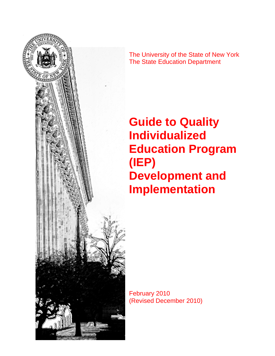

The University of the State of New York The State Education Department

# **Guide to Quality Individualized Education Program (IEP) Development and Implementation**

February 2010 (Revised December 2010)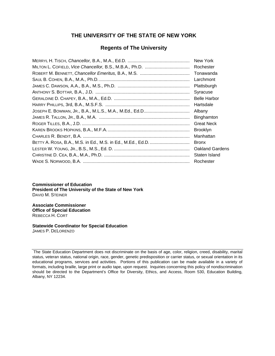## **THE UNIVERSITY OF THE STATE OF NEW YORK**

#### **Regents of The University**

|                                                        | New York               |
|--------------------------------------------------------|------------------------|
|                                                        | Rochester              |
|                                                        | Tonawanda              |
|                                                        | Larchmont              |
|                                                        | Plattsburgh            |
|                                                        | Syracuse               |
|                                                        | <b>Belle Harbor</b>    |
|                                                        | Hartsdale              |
| JOSEPH E. BOWMAN, JR., B.A., M.L.S., M.A., M.Ed., Ed.D | Albany                 |
|                                                        | Binghamton             |
|                                                        | <b>Great Neck</b>      |
|                                                        | <b>Brooklyn</b>        |
|                                                        | Manhattan              |
|                                                        | <b>Bronx</b>           |
|                                                        | <b>Oakland Gardens</b> |
|                                                        | Staten Island          |
|                                                        | Rochester              |

**Commissioner of Education President of The University of the State of New York** DAVID M. STEINER

**Associate Commissioner Office of Special Education**  REBECCA H. CORT

**Statewide Coordinator for Special Education**  JAMES P. DELORENZO

 The State Education Department does not discriminate on the basis of age, color, religion, creed, disability, marital status, veteran status, national origin, race, gender, genetic predisposition or carrier status, or sexual orientation in its educational programs, services and activities. Portions of this publication can be made available in a variety of formats, including braille, large print or audio tape, upon request. Inquiries concerning this policy of nondiscrimination should be directed to the Department's Office for Diversity, Ethics, and Access, Room 530, Education Building, Albany, NY 12234.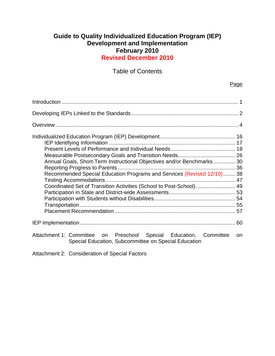# **Guide to Quality Individualized Education Program (IEP) Development and Implementation February 2010 Revised December 2010**

Table of Contents

Page

| Annual Goals, Short-Term Instructional Objectives and/or Benchmarks 30                                                       |  |
|------------------------------------------------------------------------------------------------------------------------------|--|
|                                                                                                                              |  |
| Recommended Special Education Programs and Services (Revised 12/10) 38                                                       |  |
|                                                                                                                              |  |
| Coordinated Set of Transition Activities (School to Post-School)  49                                                         |  |
|                                                                                                                              |  |
|                                                                                                                              |  |
|                                                                                                                              |  |
|                                                                                                                              |  |
|                                                                                                                              |  |
|                                                                                                                              |  |
| Attachment 1: Committee on Preschool Special Education, Committee on<br>Special Education, Subcommittee on Special Education |  |

Attachment 2: Consideration of Special Factors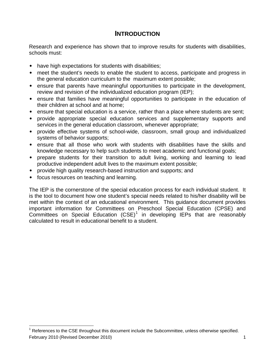# **INTRODUCTION**

<span id="page-3-0"></span>Research and experience has shown that to improve results for students with disabilities, schools must:

- have high expectations for students with disabilities;
- meet the student's needs to enable the student to access, participate and progress in the general education curriculum to the maximum extent possible;
- ensure that parents have meaningful opportunities to participate in the development, review and revision of the individualized education program (IEP);
- ensure that families have meaningful opportunities to participate in the education of their children at school and at home;
- ensure that special education is a service, rather than a place where students are sent;
- provide appropriate special education services and supplementary supports and services in the general education classroom, whenever appropriate;
- provide effective systems of school-wide, classroom, small group and individualized systems of behavior supports;
- ensure that all those who work with students with disabilities have the skills and knowledge necessary to help such students to meet academic and functional goals;
- prepare students for their transition to adult living, working and learning to lead productive independent adult lives to the maximum extent possible;
- provide high quality research-based instruction and supports; and
- focus resources on teaching and learning.

 $\overline{a}$ 

The IEP is the cornerstone of the special education process for each individual student. It is the tool to document how one student's special needs related to his/her disability will be met within the context of an educational environment. This guidance document provides important information for Committees on Preschool Special Education (CPSE) and Committees on Special Education  $(CSE)^1$  $(CSE)^1$  in developing IEPs that are reasonably calculated to result in educational benefit to a student.

<span id="page-3-1"></span><sup>&</sup>lt;sup>1</sup> References to the CSE throughout this document include the Subcommittee, unless otherwise specified. February 2010 (Revised December 2010) 1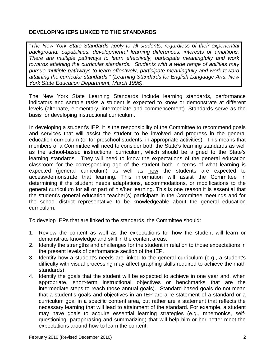# <span id="page-4-0"></span>**DEVELOPING IEPS LINKED TO THE STANDARDS**

*"The New York State Standards apply to all students, regardless of their experiential background, capabilities, developmental learning differences, interests or ambitions. There are multiple pathways to learn effectively, participate meaningfully and work towards attaining the curricular standards. Students with a wide range of abilities may pursue multiple pathways to learn effectively, participate meaningfully and work toward attaining the curricular standards." (Learning Standards for English-Language Arts, New York State Education Department, March 1996).* 

The New York State Learning Standards include learning standards, performance indicators and sample tasks a student is expected to know or demonstrate at different levels (alternate, elementary, intermediate and commencement). Standards serve as the basis for developing instructional curriculum.

In developing a student's IEP, it is the responsibility of the Committee to recommend goals and services that will assist the student to be involved and progress in the general education curriculum (or for preschool students, in appropriate activities). This means that members of a Committee will need to consider both the State's learning standards as well as the school-based instructional curriculum, which should be aligned to the State's learning standards. They will need to know the expectations of the general education classroom for the corresponding age of the student both in terms of what learning is expected (general curriculum) as well as how the students are expected to access/demonstrate that learning. This information will assist the Committee in determining if the student needs adaptations, accommodations, or modifications to the general curriculum for all or part of his/her learning. This is one reason it is essential that the student's general education teacher(s) participate in the Committee meetings and for the school district representative to be knowledgeable about the general education curriculum.

To develop IEPs that are linked to the standards, the Committee should:

- 1. Review the content as well as the expectations for how the student will learn or demonstrate knowledge and skill in the content areas.
- 2. Identify the strengths and challenges for the student in relation to those expectations in the present levels of performance section of the IEP.
- 3. Identify how a student's needs are linked to the general curriculum (e.g., a student's difficulty with visual processing may affect graphing skills required to achieve the math standards).
- 4. Identify the goals that the student will be expected to achieve in one year and, when appropriate, short-term instructional objectives or benchmarks that are the intermediate steps to reach those annual goals). Standard-based goals do not mean that a student's goals and objectives in an IEP are a re-statement of a standard or a curriculum goal in a specific content area, but rather are a statement that reflects the necessary learning that will lead to attainment of the standard. For example, a student may have goals to acquire essential learning strategies (e.g., mnemonics, selfquestioning, paraphrasing and summarizing) that will help him or her better meet the expectations around how to learn the content.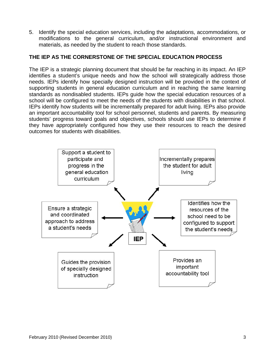5. Identify the special education services, including the adaptations, accommodations, or modifications to the general curriculum, and/or instructional environment and materials, as needed by the student to reach those standards.

## **THE IEP AS THE CORNERSTONE OF THE SPECIAL EDUCATION PROCESS**

The IEP is a strategic planning document that should be far reaching in its impact. An IEP identifies a student's unique needs and how the school will strategically address those needs. IEPs identify how specially designed instruction will be provided in the context of supporting students in general education curriculum and in reaching the same learning standards as nondisabled students. IEPs guide how the special education resources of a school will be configured to meet the needs of the students with disabilities in that school. IEPs identify how students will be incrementally prepared for adult living. IEPs also provide an important accountability tool for school personnel, students and parents. By measuring students' progress toward goals and objectives, schools should use IEPs to determine if they have appropriately configured how they use their resources to reach the desired outcomes for students with disabilities.

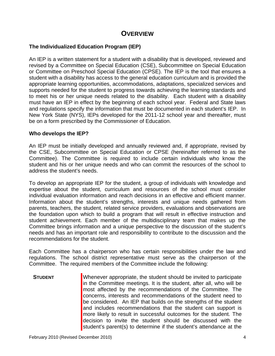# **OVERVIEW**

## <span id="page-6-0"></span>**The Individualized Education Program (IEP)**

An IEP is a written statement for a student with a disability that is developed, reviewed and revised by a Committee on Special Education (CSE), Subcommittee on Special Education or Committee on Preschool Special Education (CPSE). The IEP is the tool that ensures a student with a disability has access to the general education curriculum and is provided the appropriate learning opportunities, accommodations, adaptations, specialized services and supports needed for the student to progress towards achieving the learning standards and to meet his or her unique needs related to the disability. Each student with a disability must have an IEP in effect by the beginning of each school year. Federal and State laws and regulations specify the information that must be documented in each student's IEP. In New York State (NYS), IEPs developed for the 2011-12 school year and thereafter, must be on a form prescribed by the Commissioner of Education.

#### **Who develops the IEP?**

An IEP must be initially developed and annually reviewed and, if appropriate, revised by the CSE, Subcommittee on Special Education or CPSE (hereinafter referred to as the Committee). The Committee is required to include certain individuals who know the student and his or her unique needs and who can commit the resources of the school to address the student's needs.

To develop an appropriate IEP for the student, a group of individuals with knowledge and expertise about the student, curriculum and resources of the school must consider individual evaluation information and reach decisions in an effective and efficient manner. Information about the student's strengths, interests and unique needs gathered from parents, teachers, the student, related service providers, evaluations and observations are the foundation upon which to build a program that will result in effective instruction and student achievement. Each member of the multidisciplinary team that makes up the Committee brings information and a unique perspective to the discussion of the student's needs and has an important role and responsibility to contribute to the discussion and the recommendations for the student.

Each Committee has a chairperson who has certain responsibilities under the law and regulations. The school district representative must serve as the chairperson of the Committee. The required members of the Committee include the following:

**STUDENT** Whenever appropriate, the student should be invited to participate in the Committee meetings. It is the student, after all, who will be most affected by the recommendations of the Committee. The concerns, interests and recommendations of the student need to be considered. An IEP that builds on the strengths of the student and includes recommendations that the student can support is more likely to result in successful outcomes for the student. The decision to invite the student should be discussed with the student's parent(s) to determine if the student's attendance at the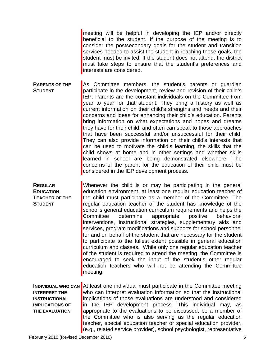meeting will be helpful in developing the IEP and/or directly beneficial to the student. If the purpose of the meeting is to consider the postsecondary goals for the student and transition services needed to assist the student in reaching those goals, the student must be invited. If the student does not attend, the district must take steps to ensure that the student's preferences and interests are considered.

- **PARENTS OF THE STUDENT** As Committee members, the student's parents or guardian participate in the development, review and revision of their child's IEP. Parents are the constant individuals on the Committee from year to year for that student. They bring a history as well as current information on their child's strengths and needs and their concerns and ideas for enhancing their child's education. Parents bring information on what expectations and hopes and dreams they have for their child, and often can speak to those approaches that have been successful and/or unsuccessful for their child. They can also provide information on their child's interests that can be used to motivate the child's learning, the skills that the child shows at home and in other settings and whether skills learned in school are being demonstrated elsewhere. The concerns of the parent for the education of their child must be considered in the IEP development process.
- **REGULAR EDUCATION TEACHER OF THE STUDENT** Whenever the child is or may be participating in the general education environment, at least one regular education teacher of the child must participate as a member of the Committee. The regular education teacher of the student has knowledge of the school's general education curriculum requirements and helps the Committee determine appropriate positive behavioral interventions, instructional strategies, supplementary aids and services, program modifications and supports for school personnel for and on behalf of the student that are necessary for the student to participate to the fullest extent possible in general education curriculum and classes. While only one regular education teacher of the student is required to attend the meeting, the Committee is encouraged to seek the input of the student's other regular education teachers who will not be attending the Committee meeting.

**INDIVIDUAL WHO CAN INTERPRET THE INSTRUCTIONAL IMPLICATIONS OF THE EVALUATION** At least one individual must participate in the Committee meeting who can interpret evaluation information so that the instructional implications of those evaluations are understood and considered in the IEP development process. This individual may, as appropriate to the evaluations to be discussed, be a member of the Committee who is also serving as the regular education teacher, special education teacher or special education provider, (e.g., related service provider), school psychologist, representative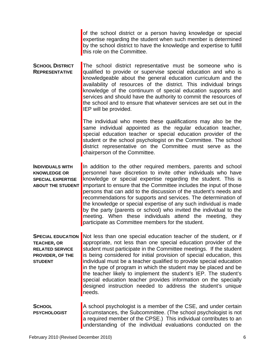of the school district or a person having knowledge or special expertise regarding the student when such member is determined by the school district to have the knowledge and expertise to fulfill this role on the Committee.

**SCHOOL DISTRICT REPRESENTATIVE** The school district representative must be someone who is qualified to provide or supervise special education and who is knowledgeable about the general education curriculum and the availability of resources of the district. This individual brings knowledge of the continuum of special education supports and services and should have the authority to commit the resources of the school and to ensure that whatever services are set out in the IEP will be provided.

> The individual who meets these qualifications may also be the same individual appointed as the regular education teacher, special education teacher or special education provider of the student or the school psychologist on the Committee. The school district representative on the Committee must serve as the chairperson of the Committee.

- **INDIVIDUALS WITH KNOWLEDGE OR SPECIAL EXPERTISE ABOUT THE STUDENT** In addition to the other required members, parents and school personnel have discretion to invite other individuals who have knowledge or special expertise regarding the student. This is important to ensure that the Committee includes the input of those persons that can add to the discussion of the student's needs and recommendations for supports and services. The determination of the knowledge or special expertise of any such individual is made by the party (parents or school) who invited the individual to the meeting. When these individuals attend the meeting, they participate as Committee members for the student.
- **SPECIAL EDUCATION TEACHER, OR RELATED SERVICE PROVIDER, OF THE STUDENT** Not less than one special education teacher of the student, or if appropriate, not less than one special education provider of the student must participate in the Committee meetings. If the student is being considered for initial provision of special education, this individual must be a teacher qualified to provide special education in the type of program in which the student may be placed and be the teacher likely to implement the student's IEP. The student's special education teacher provides information on the specially designed instruction needed to address the student's unique needs.
- **SCHOOL PSYCHOLOGIST** A school psychologist is a member of the CSE, and under certain circumstances, the Subcommittee. (The school psychologist is not a required member of the CPSE.) This individual contributes to an understanding of the individual evaluations conducted on the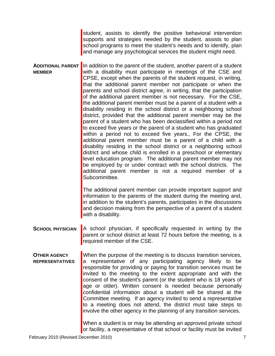student, assists to identify the positive behavioral intervention supports and strategies needed by the student, assists to plan school programs to meet the student's needs and to identify, plan and manage any psychological services the student might need.

**ADDITIONAL PARENT MEMBER** In addition to the parent of the student, another parent of a student with a disability must participate in meetings of the CSE and CPSE, except when the parents of the student request, in writing, that the additional parent member not participate or when the parents and school district agree, in writing, that the participation of the additional parent member is not necessary. For the CSE, the additional parent member must be a parent of a student with a disability residing in the school district or a neighboring school district, provided that the additional parent member may be the parent of a student who has been declassified within a period not to exceed five years or the parent of a student who has graduated within a period not to exceed five years., For the CPSE, the additional parent member must be a parent of a child with a disability residing in the school district or a neighboring school district and whose child is enrolled in a preschool or elementary level education program. The additional parent member may not be employed by or under contract with the school districts. The additional parent member is not a required member of a Subcommittee.

> The additional parent member can provide important support and information to the parents of the student during the meeting and, in addition to the student's parents, participates in the discussions and decision making from the perspective of a parent of a student with a disability.

- **SCHOOL PHYSICIAN** A school physician, if specifically requested in writing by the parent or school district at least 72 hours before the meeting, is a required member of the CSE.
- **OTHER AGENCY REPRESENTATIVES** When the purpose of the meeting is to discuss transition services, a representative of any participating agency likely to be responsible for providing or paying for transition services must be invited to the meeting to the extent appropriate and with the consent of the student's parent (or the student who is 18 years of age or older). Written consent is needed because personally confidential information about a student will be shared at the Committee meeting. If an agency invited to send a representative to a meeting does not attend, the district must take steps to involve the other agency in the planning of any transition services.

When a student is or may be attending an approved private school or facility, a representative of that school or facility must be invited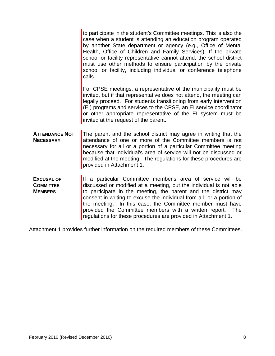to participate in the student's Committee meetings. This is also the case when a student is attending an education program operated by another State department or agency (e.g., Office of Mental Health, Office of Children and Family Services). If the private school or facility representative cannot attend, the school district must use other methods to ensure participation by the private school or facility, including individual or conference telephone calls. For CPSE meetings, a representative of the municipality must be invited, but if that representative does not attend, the meeting can legally proceed. For students transitioning from early intervention (EI) programs and services to the CPSE, an EI service coordinator or other appropriate representative of the EI system must be invited at the request of the parent. **ATTENDANCE NOT NECESSARY**  The parent and the school district may agree in writing that the attendance of one or more of the Committee members is not necessary for all or a portion of a particular Committee meeting because that individual's area of service will not be discussed or modified at the meeting. The regulations for these procedures are provided in Attachment 1. **EXCUSAL OF COMMITTEE MEMBERS** If a particular Committee member's area of service will be discussed or modified at a meeting, but the individual is not able to participate in the meeting, the parent and the district may consent in writing to excuse the individual from all or a portion of the meeting. In this case, the Committee member must have

Attachment 1 provides further information on the required members of these Committees.

provided the Committee members with a written report. The regulations for these procedures are provided in Attachment 1.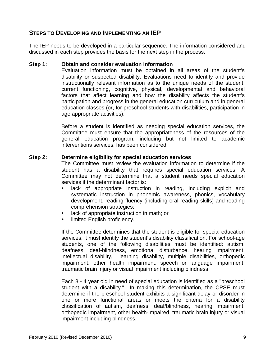# **STEPS TO DEVELOPING AND IMPLEMENTING AN IEP**

The IEP needs to be developed in a particular sequence. The information considered and discussed in each step provides the basis for the next step in the process.

#### **Step 1: Obtain and consider evaluation information**

Evaluation information must be obtained in all areas of the student's disability or suspected disability. Evaluations need to identify and provide instructionally relevant information as to the unique needs of the student, current functioning, cognitive, physical, developmental and behavioral factors that affect learning and how the disability affects the student's participation and progress in the general education curriculum and in general education classes (or, for preschool students with disabilities, participation in age appropriate activities).

Before a student is identified as needing special education services, the Committee must ensure that the appropriateness of the resources of the general education program, including but not limited to academic interventions services, has been considered.

#### **Step 2: Determine eligibility for special education services**

The Committee must review the evaluation information to determine if the student has a disability that requires special education services. A Committee may not determine that a student needs special education services if the determinant factor is:

- lack of appropriate instruction in reading, including explicit and systematic instruction in phonemic awareness, phonics, vocabulary development, reading fluency (including oral reading skills) and reading comprehension strategies;
- lack of appropriate instruction in math; or
- limited English proficiency.

If the Committee determines that the student is eligible for special education services, it must identify the student's disability classification. For school-age students, one of the following disabilities must be identified: autism, deafness, deaf-blindness, emotional disturbance, hearing impairment, intellectual disability, learning disability, multiple disabilities, orthopedic impairment, other health impairment, speech or language impairment, traumatic brain injury or visual impairment including blindness.

Each 3 - 4 year old in need of special education is identified as a "preschool student with a disability." In making this determination, the CPSE must determine if the preschool student exhibits a significant delay or disorder in one or more functional areas or meets the criteria for a disability classification of autism, deafness, deaf/blindness, hearing impairment, orthopedic impairment, other health-impaired, traumatic brain injury or visual impairment including blindness.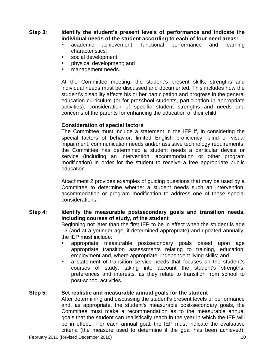#### **Step 3: Identify the student's present levels of performance and indicate the individual needs of the student according to each of four need areas:**

- academic achievement, functional performance and learning characteristics;
- social development;
- y physical development; and
- management needs.

At the Committee meeting, the student's present skills, strengths and individual needs must be discussed and documented. This includes how the student's disability affects his or her participation and progress in the general education curriculum (or for preschool students, participation in appropriate activities), consideration of specific student strengths and needs and concerns of the parents for enhancing the education of their child.

#### **Consideration of special factors**

The Committee must include a statement in the IEP if, in considering the special factors of behavior, limited English proficiency, blind or visual impairment, communication needs and/or assistive technology requirements, the Committee has determined a student needs a particular device or service (including an intervention, accommodation or other program modification) in order for the student to receive a free appropriate public education.

Attachment 2 provides examples of guiding questions that may be used by a Committee to determine whether a student needs such an intervention, accommodation or program modification to address one of these special considerations.

#### **Step 4: Identify the measurable postsecondary goals and transition needs, including courses of study, of the student**

Beginning not later than the first IEP to be in effect when the student is age 15 (and at a younger age, if determined appropriate) and updated annually, the IEP must include:

- appropriate measurable postsecondary goals based upon age appropriate transition assessments relating to training, education, employment and, where appropriate, independent living skills; and
- a statement of transition service needs that focuses on the student's courses of study, taking into account the student's strengths, preferences and interests, as they relate to transition from school to post-school activities.

#### **Step 5: Set realistic and measurable annual goals for the student**

After determining and discussing the student's present levels of performance and, as appropriate, the student's measurable post-secondary goals, the Committee must make a recommendation as to the measurable annual goals that the student can realistically reach in the year in which the IEP will be in effect. For each annual goal, the IEP must indicate the evaluative criteria (the measure used to determine if the goal has been achieved),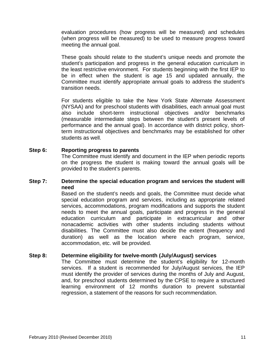evaluation procedures (how progress will be measured) and schedules (when progress will be measured) to be used to measure progress toward meeting the annual goal.

These goals should relate to the student's unique needs and promote the student's participation and progress in the general education curriculum in the least restrictive environment. For students beginning with the first IEP to be in effect when the student is age 15 and updated annually, the Committee must identify appropriate annual goals to address the student's transition needs.

For students eligible to take the New York State Alternate Assessment (NYSAA) and for preschool students with disabilities, each annual goal must also include short-term instructional objectives and/or benchmarks (measurable intermediate steps between the student's present levels of performance and the annual goal). In accordance with district policy, shortterm instructional objectives and benchmarks may be established for other students as well.

#### **Step 6: Reporting progress to parents**

The Committee must identify and document in the IEP when periodic reports on the progress the student is making toward the annual goals will be provided to the student's parents.

#### **Step 7: Determine the special education program and services the student will need**

Based on the student's needs and goals, the Committee must decide what special education program and services, including as appropriate related services, accommodations, program modifications and supports the student needs to meet the annual goals, participate and progress in the general education curriculum and participate in extracurricular and other nonacademic activities with other students including students without disabilities. The Committee must also decide the extent (frequency and duration) as well as the location where each program, service, accommodation, etc. will be provided.

#### **Step 8: Determine eligibility for twelve-month (July/August) services**

The Committee must determine the student's eligibility for 12-month services. If a student is recommended for July/August services, the IEP must identify the provider of services during the months of July and August, and, for preschool students determined by the CPSE to require a structured learning environment of 12 months duration to prevent substantial regression, a statement of the reasons for such recommendation.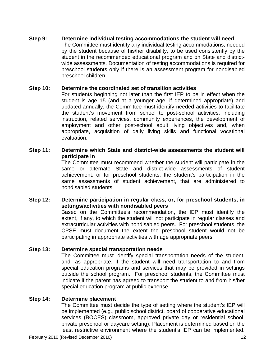#### **Step 9: Determine individual testing accommodations the student will need**

The Committee must identify any individual testing accommodations, needed by the student because of his/her disability, to be used consistently by the student in the recommended educational program and on State and districtwide assessments. Documentation of testing accommodations is required for preschool students only if there is an assessment program for nondisabled preschool children.

#### **Step 10: Determine the coordinated set of transition activities**

For students beginning not later than the first IEP to be in effect when the student is age 15 (and at a younger age, if determined appropriate) and updated annually, the Committee must identify needed activities to facilitate the student's movement from school to post-school activities, including instruction, related services, community experiences, the development of employment and other post-school adult living objectives and, when appropriate, acquisition of daily living skills and functional vocational evaluation.

#### **Step 11: Determine which State and district-wide assessments the student will participate in**

The Committee must recommend whether the student will participate in the same or alternate State and district-wide assessments of student achievement, or for preschool students, the student's participation in the same assessments of student achievement, that are administered to nondisabled students.

## **Step 12: Determine participation in regular class, or, for preschool students, in settings/activities with nondisabled peers**

Based on the Committee's recommendation, the IEP must identify the extent, if any, to which the student will not participate in regular classes and extracurricular activities with nondisabled peers. For preschool students, the CPSE must document the extent the preschool student would not be participating in appropriate activities with age appropriate peers.

#### **Step 13: Determine special transportation needs**

The Committee must identify special transportation needs of the student, and, as appropriate, if the student will need transportation to and from special education programs and services that may be provided in settings outside the school program. For preschool students, the Committee must indicate if the parent has agreed to transport the student to and from his/her special education program at public expense.

#### **Step 14: Determine placement**

The Committee must decide the type of setting where the student's IEP will be implemented (e.g., public school district, board of cooperative educational services (BOCES) classroom, approved private day or residential school, private preschool or daycare setting). Placement is determined based on the least restrictive environment where the student's IEP can be implemented.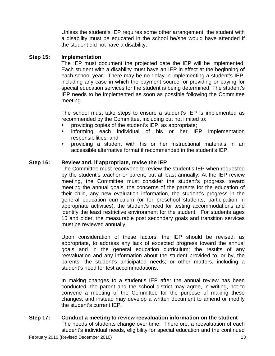Unless the student's IEP requires some other arrangement, the student with a disability must be educated in the school he/she would have attended if the student did not have a disability.

#### **Step 15: Implementation**

The IEP must document the projected date the IEP will be implemented. Each student with a disability must have an IEP in effect at the beginning of each school year. There may be no delay in implementing a student's IEP, including any case in which the payment source for providing or paying for special education services for the student is being determined. The student's IEP needs to be implemented as soon as possible following the Committee meeting.

The school must take steps to ensure a student's IEP is implemented as recommended by the Committee, including but not limited to:

- providing copies of the student's IEP, as appropriate;
- informing each individual of his or her IEP implementation responsibilities; and
- y providing a student with his or her instructional materials in an accessible alternative format if recommended in the student's IEP.

## **Step 16: Review and, if appropriate, revise the IEP**

The Committee must reconvene to review the student's IEP when requested by the student's teacher or parent, but at least annually. At the IEP review meeting, the Committee must consider the student's progress toward meeting the annual goals, the concerns of the parents for the education of their child, any new evaluation information, the student's progress in the general education curriculum (or for preschool students, participation in appropriate activities), the student's need for testing accommodations and identify the least restrictive environment for the student. For students ages 15 and older, the measurable post secondary goals and transition services must be reviewed annually.

Upon consideration of these factors, the IEP should be revised, as appropriate, to address any lack of expected progress toward the annual goals and in the general education curriculum; the results of any reevaluation and any information about the student provided to, or by, the parents; the student's anticipated needs; or other matters, including a student's need for test accommodations.

In making changes to a student's IEP after the annual review has been conducted, the parent and the school district may agree, in writing, not to convene a meeting of the Committee for the purpose of making these changes, and instead may develop a written document to amend or modify the student's current IEP.

#### **Step 17: Conduct a meeting to review reevaluation information on the student**

The needs of students change over time. Therefore, a reevaluation of each student's individual needs, eligibility for special education and the continued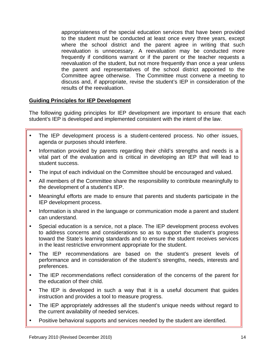appropriateness of the special education services that have been provided to the student must be conducted at least once every three years, except where the school district and the parent agree in writing that such reevaluation is unnecessary. A reevaluation may be conducted more frequently if conditions warrant or if the parent or the teacher requests a reevaluation of the student, but not more frequently than once a year unless the parent and representatives of the school district appointed to the Committee agree otherwise. The Committee must convene a meeting to discuss and, if appropriate, revise the student's IEP in consideration of the results of the reevaluation.

#### **Guiding Principles for IEP Development**

The following guiding principles for IEP development are important to ensure that each student's IEP is developed and implemented consistent with the intent of the law.

- The IEP development process is a student-centered process. No other issues, agenda or purposes should interfere.
- Information provided by parents regarding their child's strengths and needs is a vital part of the evaluation and is critical in developing an IEP that will lead to student success.
- The input of each individual on the Committee should be encouraged and valued.
- All members of the Committee share the responsibility to contribute meaningfully to the development of a student's IEP.
- Meaningful efforts are made to ensure that parents and students participate in the IEP development process.
- Information is shared in the language or communication mode a parent and student can understand.
- Special education is a service, not a place. The IEP development process evolves to address concerns and considerations so as to support the student's progress toward the State's learning standards and to ensure the student receives services in the least restrictive environment appropriate for the student.
- The IEP recommendations are based on the student's present levels of performance and in consideration of the student's strengths, needs, interests and preferences.
- The IEP recommendations reflect consideration of the concerns of the parent for the education of their child.
- The IEP is developed in such a way that it is a useful document that guides instruction and provides a tool to measure progress.
- The IEP appropriately addresses all the student's unique needs without regard to the current availability of needed services.
- Positive behavioral supports and services needed by the student are identified.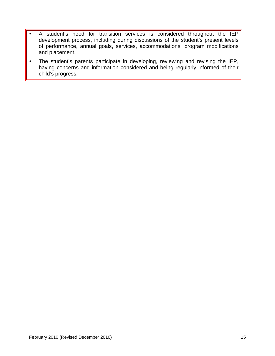- A student's need for transition services is considered throughout the IEP development process, including during discussions of the student's present levels of performance, annual goals, services, accommodations, program modifications and placement.
- The student's parents participate in developing, reviewing and revising the IEP, having concerns and information considered and being regularly informed of their child's progress.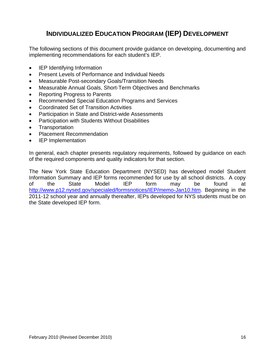# **INDIVIDUALIZED EDUCATION PROGRAM (IEP) DEVELOPMENT**

<span id="page-18-0"></span>The following sections of this document provide guidance on developing, documenting and implementing recommendations for each student's IEP.

- **IEP Identifying Information**
- Present Levels of Performance and Individual Needs
- Measurable Post-secondary Goals/Transition Needs
- Measurable Annual Goals, Short-Term Objectives and Benchmarks
- Reporting Progress to Parents
- Recommended Special Education Programs and Services
- Coordinated Set of Transition Activities
- Participation in State and District-wide Assessments
- Participation with Students Without Disabilities
- Transportation
- Placement Recommendation
- IEP Implementation

In general, each chapter presents regulatory requirements, followed by guidance on each of the required components and quality indicators for that section.

The New York State Education Department (NYSED) has developed model Student Information Summary and IEP forms recommended for use by all school districts. A copy of the State Model IEP form may be found at [http://www.p12.nysed.gov/specialed/formsnotices/IEP/memo-Jan10.htm.](http://www.p12.nysed.gov/specialed/formsnotices/IEP/memo-Jan10.htm) Beginning in the 2011-12 school year and annually thereafter, IEPs developed for NYS students must be on the State developed IEP form.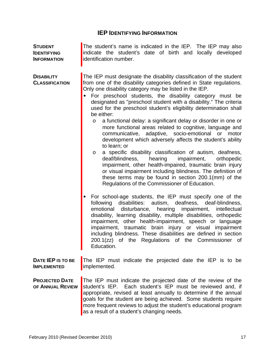# **IEP IDENTIFYING INFORMATION**

<span id="page-19-0"></span>

| <b>STUDENT</b><br><b>IDENTIFYING</b><br><b>INFORMATION</b> | The student's name is indicated in the IEP. The IEP may also<br>indicate the student's date of birth and locally developed<br>identification number.                                                                                                                                                                                                                                                                                                                                                                                                                                                                                                                                                                                                                                                                                                                                                                                                                                                                                                                                                                                                                                                                                                                                                                                                                                                                                                                                                                                                |
|------------------------------------------------------------|-----------------------------------------------------------------------------------------------------------------------------------------------------------------------------------------------------------------------------------------------------------------------------------------------------------------------------------------------------------------------------------------------------------------------------------------------------------------------------------------------------------------------------------------------------------------------------------------------------------------------------------------------------------------------------------------------------------------------------------------------------------------------------------------------------------------------------------------------------------------------------------------------------------------------------------------------------------------------------------------------------------------------------------------------------------------------------------------------------------------------------------------------------------------------------------------------------------------------------------------------------------------------------------------------------------------------------------------------------------------------------------------------------------------------------------------------------------------------------------------------------------------------------------------------------|
| <b>DISABILITY</b><br><b>CLASSIFICATION</b>                 | The IEP must designate the disability classification of the student<br>from one of the disability categories defined in State regulations.<br>Only one disability category may be listed in the IEP.<br>For preschool students, the disability category must be<br>$\bullet$<br>designated as "preschool student with a disability." The criteria<br>used for the preschool student's eligibility determination shall<br>be either:<br>a functional delay: a significant delay or disorder in one or<br>$\circ$<br>more functional areas related to cognitive, language and<br>communicative, adaptive, socio-emotional<br>or<br>motor<br>development which adversely affects the student's ability<br>to learn; or<br>a specific disability classification of autism, deafness,<br>O<br>deaf/blindness, hearing<br>impairment,<br>orthopedic<br>impairment, other health-impaired, traumatic brain injury<br>or visual impairment including blindness. The definition of<br>these terms may be found in section 200.1(mm) of the<br>Regulations of the Commissioner of Education.<br>For school-age students, the IEP must specify one of the<br>disabilities: autism, deafness, deaf-blindness,<br>following<br>emotional<br>disturbance,<br>impairment,<br>intellectual<br>hearing<br>disability, learning disability, multiple disabilities, orthopedic<br>impairment, other health-impairment, speech or language<br>impairment, traumatic brain injury or visual impairment<br>including blindness. These disabilities are defined in section |
|                                                            | 200.1(zz) of the Regulations of the Commissioner of<br>Education.                                                                                                                                                                                                                                                                                                                                                                                                                                                                                                                                                                                                                                                                                                                                                                                                                                                                                                                                                                                                                                                                                                                                                                                                                                                                                                                                                                                                                                                                                   |
| DATE IEP IS TO BE<br><b>IMPLEMENTED</b>                    | The IEP must indicate the projected date the IEP is to be<br>implemented.                                                                                                                                                                                                                                                                                                                                                                                                                                                                                                                                                                                                                                                                                                                                                                                                                                                                                                                                                                                                                                                                                                                                                                                                                                                                                                                                                                                                                                                                           |
| <b>PROJECTED DATE</b><br>OF ANNUAL REVIEW                  | The IEP must indicate the projected date of the review of the<br>student's IEP. Each student's IEP must be reviewed and, if<br>appropriate, revised at least annually to determine if the annual<br>goals for the student are being achieved. Some students require<br>more frequent reviews to adjust the student's educational program<br>as a result of a student's changing needs.                                                                                                                                                                                                                                                                                                                                                                                                                                                                                                                                                                                                                                                                                                                                                                                                                                                                                                                                                                                                                                                                                                                                                              |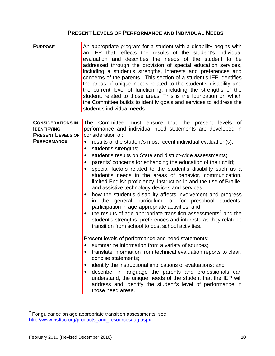# **PRESENT LEVELS OF PERFORMANCE AND INDIVIDUAL NEEDS**

<span id="page-20-0"></span>

| <b>PURPOSE</b>                                                                                   | An appropriate program for a student with a disability begins with<br>an IEP that reflects the results of the student's individual<br>evaluation and describes the needs of the student to be<br>addressed through the provision of special education services,<br>including a student's strengths, interests and preferences and<br>concerns of the parents. This section of a student's IEP identifies<br>the areas of unique needs related to the student's disability and<br>the current level of functioning, including the strengths of the<br>student, related to those areas. This is the foundation on which<br>the Committee builds to identify goals and services to address the<br>student's individual needs.                                                                                                                                                                                                                                                                                                                                                                                                                                                                                                                                                                                                                                                                                                                                                                      |
|--------------------------------------------------------------------------------------------------|-------------------------------------------------------------------------------------------------------------------------------------------------------------------------------------------------------------------------------------------------------------------------------------------------------------------------------------------------------------------------------------------------------------------------------------------------------------------------------------------------------------------------------------------------------------------------------------------------------------------------------------------------------------------------------------------------------------------------------------------------------------------------------------------------------------------------------------------------------------------------------------------------------------------------------------------------------------------------------------------------------------------------------------------------------------------------------------------------------------------------------------------------------------------------------------------------------------------------------------------------------------------------------------------------------------------------------------------------------------------------------------------------------------------------------------------------------------------------------------------------|
| <b>CONSIDERATIONS IN</b><br><b>IDENTIFYING</b><br><b>PRESENT LEVELS OF</b><br><b>PERFORMANCE</b> | The Committee must ensure that the present levels of<br>performance and individual need statements are developed in<br>consideration of:<br>results of the student's most recent individual evaluation(s);<br>student's strengths;<br>student's results on State and district-wide assessments;<br>parents' concerns for enhancing the education of their child;<br>special factors related to the student's disability such as a<br>student's needs in the areas of behavior, communication,<br>limited English proficiency, instruction in and the use of Braille,<br>and assistive technology devices and services;<br>how the student's disability affects involvement and progress<br>in the general curriculum, or for preschool students,<br>participation in age-appropriate activities; and<br>the results of age-appropriate transition assessments <sup>2</sup> and the<br>student's strengths, preferences and interests as they relate to<br>transition from school to post school activities.<br>Present levels of performance and need statements:<br>summarize information from a variety of sources;<br>translate information from technical evaluation reports to clear,<br>concise statements;<br>identify the instructional implications of evaluations; and<br>describe, in language the parents and professionals can<br>understand, the unique needs of the student that the IEP will<br>address and identify the student's level of performance in<br>those need areas. |

<span id="page-20-1"></span> 2 For guidance on age appropriate transition assessments, see [http://www.nsttac.org/products\\_and\\_resources/tag.aspx](http://www.nsttac.org/products_and_resources/tag.aspx)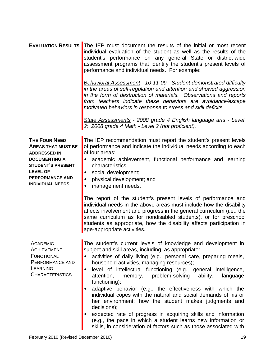|                                                                                                                                                                                                      | <b>EVALUATION RESULTS</b> The IEP must document the results of the initial or most recent<br>individual evaluation of the student as well as the results of the<br>student's performance on any general State or district-wide<br>assessment programs that identify the student's present levels of<br>performance and individual needs. For example:                                                                                                                                                                                                                                                                                                                                                                                                                                               |
|------------------------------------------------------------------------------------------------------------------------------------------------------------------------------------------------------|-----------------------------------------------------------------------------------------------------------------------------------------------------------------------------------------------------------------------------------------------------------------------------------------------------------------------------------------------------------------------------------------------------------------------------------------------------------------------------------------------------------------------------------------------------------------------------------------------------------------------------------------------------------------------------------------------------------------------------------------------------------------------------------------------------|
|                                                                                                                                                                                                      | Behavioral Assessment - 10-11-09 - Student demonstrated difficulty<br>in the areas of self-regulation and attention and showed aggression<br>in the form of destruction of materials. Observations and reports<br>from teachers indicate these behaviors are avoidance/escape<br>motivated behaviors in response to stress and skill deficits.                                                                                                                                                                                                                                                                                                                                                                                                                                                      |
|                                                                                                                                                                                                      | State Assessments - 2008 grade 4 English language arts - Level<br>2; 2008 grade 4 Math - Level 2 (not proficient).                                                                                                                                                                                                                                                                                                                                                                                                                                                                                                                                                                                                                                                                                  |
| <b>THE FOUR NEED</b><br><b>AREAS THAT MUST BE</b><br><b>ADDRESSED IN</b><br><b>DOCUMENTING A</b><br><b>STUDENT'S PRESENT</b><br><b>LEVEL OF</b><br><b>PERFORMANCE AND</b><br><b>INDIVIDUAL NEEDS</b> | The IEP recommendation must report the student's present levels<br>of performance and indicate the individual needs according to each<br>of four areas:<br>academic achievement, functional performance and learning<br>characteristics;<br>social development;<br>physical development; and<br>management needs.                                                                                                                                                                                                                                                                                                                                                                                                                                                                                   |
|                                                                                                                                                                                                      | The report of the student's present levels of performance and<br>individual needs in the above areas must include how the disability<br>affects involvement and progress in the general curriculum (i.e., the<br>same curriculum as for nondisabled students), or for preschool<br>students as appropriate, how the disability affects participation in<br>age-appropriate activities.                                                                                                                                                                                                                                                                                                                                                                                                              |
| <b>ACADEMIC</b><br>ACHIEVEMENT,<br><b>FUNCTIONAL</b><br>PERFORMANCE AND<br>LEARNING<br><b>CHARACTERISTICS</b>                                                                                        | The student's current levels of knowledge and development in<br>subject and skill areas, including, as appropriate:<br>activities of daily living (e.g., personal care, preparing meals,<br>household activities, managing resources);<br>level of intellectual functioning (e.g., general intelligence,<br>attention,<br>memory, problem-solving ability,<br>language<br>functioning);<br>adaptive behavior (e.g., the effectiveness with which the<br>individual copes with the natural and social demands of his or<br>her environment; how the student makes judgments and<br>decisions);<br>expected rate of progress in acquiring skills and information<br>(e.g., the pace in which a student learns new information or<br>skills, in consideration of factors such as those associated with |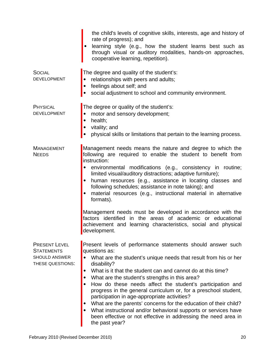|                                                                                       | the child's levels of cognitive skills, interests, age and history of<br>rate of progress); and<br>learning style (e.g., how the student learns best such as<br>through visual or auditory modalities, hands-on approaches,<br>cooperative learning, repetition).                                                                                                                                                                                                                                                                                                                                                                                                                                                                |
|---------------------------------------------------------------------------------------|----------------------------------------------------------------------------------------------------------------------------------------------------------------------------------------------------------------------------------------------------------------------------------------------------------------------------------------------------------------------------------------------------------------------------------------------------------------------------------------------------------------------------------------------------------------------------------------------------------------------------------------------------------------------------------------------------------------------------------|
| <b>SOCIAL</b><br><b>DEVELOPMENT</b>                                                   | The degree and quality of the student's:<br>relationships with peers and adults;<br>feelings about self; and<br>social adjustment to school and community environment.                                                                                                                                                                                                                                                                                                                                                                                                                                                                                                                                                           |
| PHYSICAL<br><b>DEVELOPMENT</b>                                                        | The degree or quality of the student's:<br>motor and sensory development;<br>$\bullet$<br>health;<br>vitality; and<br>physical skills or limitations that pertain to the learning process.                                                                                                                                                                                                                                                                                                                                                                                                                                                                                                                                       |
| <b>MANAGEMENT</b><br><b>NEEDS</b>                                                     | Management needs means the nature and degree to which the<br>following are required to enable the student to benefit from<br>instruction:<br>environmental modifications (e.g., consistency in routine;<br>limited visual/auditory distractions; adaptive furniture);<br>human resources (e.g., assistance in locating classes and<br>following schedules; assistance in note taking); and<br>material resources (e.g., instructional material in alternative<br>formats).<br>Management needs must be developed in accordance with the<br>factors identified in the areas of academic or educational<br>achievement and learning characteristics, social and physical<br>development.                                           |
| <b>PRESENT LEVEL</b><br><b>STATEMENTS</b><br><b>SHOULD ANSWER</b><br>THESE QUESTIONS: | Present levels of performance statements should answer such<br>questions as:<br>What are the student's unique needs that result from his or her<br>disability?<br>What is it that the student can and cannot do at this time?<br>$\bullet$<br>What are the student's strengths in this area?<br>$\bullet$<br>How do these needs affect the student's participation and<br>progress in the general curriculum or, for a preschool student,<br>participation in age-appropriate activities?<br>What are the parents' concerns for the education of their child?<br>$\bullet$<br>What instructional and/or behavioral supports or services have<br>been effective or not effective in addressing the need area in<br>the past year? |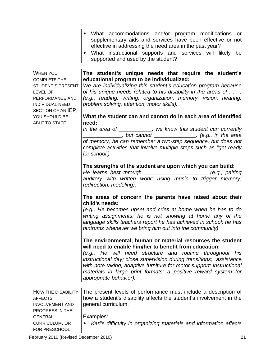- What accommodations and/or program modifications or supplementary aids and services have been effective or not effective in addressing the need area in the past year?
- What instructional supports and services will likely be supported and used by the student?

#### **The student's unique needs that require the student's educational program to be individualized:**

*We are individualizing this student's education program because of his unique needs related to his disability in the areas of . . . . (e.g., reading, writing, organization, memory, vision, hearing, problem solving, attention, motor skills).* 

#### **What the student can and cannot do in each area of identified need:**

*In the area of \_\_\_\_\_\_\_\_\_\_\_, we know this student can currently \_\_\_\_\_\_\_\_\_\_\_\_\_, but cannot \_\_\_\_\_\_\_\_\_\_\_\_\_\_. (e.g., in the area of memory, he can remember a two-step sequence, but does not complete activities that involve multiple steps such as "get ready for school.)* 

#### **The strengths of the student are upon which you can build:**

*He learns best through \_\_\_\_\_\_\_\_\_\_\_\_\_\_\_\_\_\_\_\_\_ (e.g., pairing auditory with written work; using music to trigger memory; redirection; modeling).* 

#### **The areas of concern the parents have raised about their child's needs:**

*(e.g., He becomes upset and cries at home when he has to do writing assignments; he is not showing at home any of the language skills teachers report he has achieved in school; he has tantrums whenever we bring him out into the community).* 

#### **The environmental, human or material resources the student will need to enable him/her to benefit from education:**

*(e.g., He will need structure and routine throughout his instructional day; close supervision during transitions; assistance with note taking; adaptive furniture for motor support; instructional materials in large print formats; a positive reward system for appropriate behavior).* 

HOW THE DISABILITY AFFECTS INVOLVEMENT AND PROGRESS IN THE The present levels of performance must include a description of how a student's disability affects the student's involvement in the general curriculum.

Examples:

• *Kari's difficulty in organizing materials and information affects* 

WHEN YOU COMPLETE THE STUDENT'S PRESENT LEVEL OF PERFORMANCE AND INDIVIDUAL NEED SECTION OF AN IEP, YOU SHOULD BE ABLE TO STATE:

GENERAL

CURRICULUM, OR FOR PRESCHOOL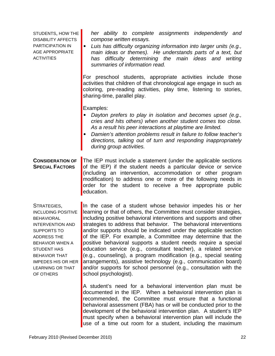STUDENTS, HOW THE DISABILITY AFFECTS PARTICIPATION IN AGE APPROPRIATE **ACTIVITIES** 

*her ability to complete assignments independently and compose written essays.*

• *Luis has difficulty organizing information into larger units (e.g., main ideas or themes). He understands parts of a text, but has difficulty determining the main ideas and writing summaries of information read.*

For preschool students, appropriate activities include those activities that children of that chronological age engage in such as coloring, pre-reading activities, play time, listening to stories, sharing-time, parallel play.

Examples:

- *Dayton prefers to play in isolation and becomes upset (e.g., cries and hits others) when another student comes too close. As a result his peer interactions at playtime are limited.*
- *Damien's attention problems result in failure to follow teacher's directions, talking out of turn and responding inappropriately during group activities.*

# **CONSIDERATION OF SPECIAL FACTORS**

The IEP must include a statement (under the applicable sections of the IEP) if the student needs a particular device or service (including an intervention, accommodation or other program modification) to address one or more of the following needs in order for the student to receive a free appropriate public education.

STRATEGIES, INCLUDING POSITIVE **BEHAVIORAL** INTERVENTION AND SUPPORTS TO ADDRESS THE BEHAVIOR WHEN A STUDENT HAS BEHAVIOR THAT IMPEDES HIS OR HER LEARNING OR THAT OF OTHERS

In the case of a student whose behavior impedes his or her learning or that of others, the Committee must consider strategies, including positive behavioral interventions and supports and other strategies to address that behavior. The behavioral interventions and/or supports should be indicated under the applicable section of the IEP. For example, a Committee may determine that the positive behavioral supports a student needs require a special education service (e.g., consultant teacher), a related service (e.g., counseling), a program modification (e.g., special seating arrangements), assistive technology (e.g., communication board) and/or supports for school personnel (e.g., consultation with the school psychologist).

A student's need for a behavioral intervention plan must be documented in the IEP. When a behavioral intervention plan is recommended, the Committee must ensure that a functional behavioral assessment (FBA) has or will be conducted prior to the development of the behavioral intervention plan. A student's IEP must specify when a behavioral intervention plan will include the use of a time out room for a student, including the maximum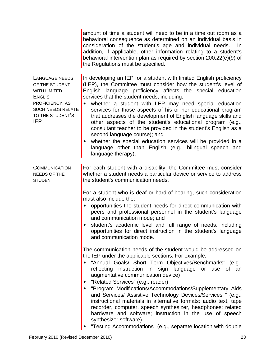amount of time a student will need to be in a time out room as a behavioral consequence as determined on an individual basis in consideration of the student's age and individual needs. In addition, if applicable, other information relating to a student's behavioral intervention plan as required by section 200.22(e)(9) of the Regulations must be specified.

LANGUAGE NEEDS OF THE STUDENT WITH LIMITED ENGLISH PROFICIENCY, AS SUCH NEEDS RELATE TO THE STUDENT'S IEP

In developing an IEP for a student with limited English proficiency (LEP), the Committee must consider how the student's level of English language proficiency affects the special education services that the student needs, including:

- whether a student with LEP may need special education services for those aspects of his or her educational program that addresses the development of English language skills and other aspects of the student's educational program (e.g., consultant teacher to be provided in the student's English as a second language course); and
- whether the special education services will be provided in a language other than English (e.g., bilingual speech and language therapy).

**COMMUNICATION** NEEDS OF THE **STUDENT** 

For each student with a disability, the Committee must consider whether a student needs a particular device or service to address the student's communication needs.

For a student who is deaf or hard-of-hearing, such consideration must also include the:

- opportunities the student needs for direct communication with peers and professional personnel in the student's language and communication mode; and
- student's academic level and full range of needs, including opportunities for direct instruction in the student's language and communication mode.

The communication needs of the student would be addressed on the IEP under the applicable sections. For example:

- "Annual Goals/ Short Term Objectives/Benchmarks" (e.g., reflecting instruction in sign language or use of an augmentative communication device)
- "Related Services" (e.g., reader)
- "Program Modifications/Accommodations/Supplementary Aids and Services/ Assistive Technology Devices/Services " (e.g., instructional materials in alternative formats: audio text, tape recorder, computer, speech synthesizer, headphones; related hardware and software; instruction in the use of speech synthesizer software)
- "Testing Accommodations" (e.g., separate location with double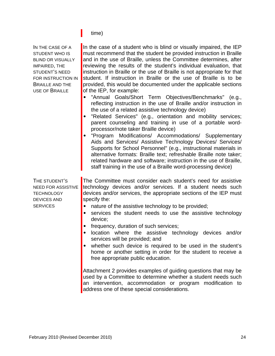# time)

| IN THE CASE OF A<br><b>STUDENT WHO IS</b><br><b>BLIND OR VISUALLY</b><br>IMPAIRED, THE<br>STUDENT'S NEED<br>FOR INSTRUCTION IN<br><b>BRAILLE AND THE</b><br><b>USE OF BRAILLE</b> | In the case of a student who is blind or visually impaired, the IEP<br>must recommend that the student be provided instruction in Braille<br>and in the use of Braille, unless the Committee determines, after<br>reviewing the results of the student's individual evaluation, that<br>instruction in Braille or the use of Braille is not appropriate for that<br>student. If instruction in Braille or the use of Braille is to be<br>provided, this would be documented under the applicable sections<br>of the IEP, for example:<br>"Annual Goals/Short Term Objectives/Benchmarks" (e.g.,<br>reflecting instruction in the use of Braille and/or instruction in<br>the use of a related assistive technology device)<br>"Related Services" (e.g., orientation and mobility services;<br>parent counseling and training in use of a portable word-<br>processor/note taker Braille device)<br>"Program Modifications/ Accommodations/ Supplementary<br>Aids and Services/ Assistive Technology Devices/ Services/<br>Supports for School Personnel" (e.g., instructional materials in<br>alternative formats: Braille text; refreshable Braille note taker;<br>related hardware and software; instruction in the use of Braille,<br>staff training in the use of a Braille word-processing device) |
|-----------------------------------------------------------------------------------------------------------------------------------------------------------------------------------|---------------------------------------------------------------------------------------------------------------------------------------------------------------------------------------------------------------------------------------------------------------------------------------------------------------------------------------------------------------------------------------------------------------------------------------------------------------------------------------------------------------------------------------------------------------------------------------------------------------------------------------------------------------------------------------------------------------------------------------------------------------------------------------------------------------------------------------------------------------------------------------------------------------------------------------------------------------------------------------------------------------------------------------------------------------------------------------------------------------------------------------------------------------------------------------------------------------------------------------------------------------------------------------------------------|
| THE STUDENT'S<br><b>NEED FOR ASSISTIVE</b><br><b>TECHNOLOGY</b><br><b>DEVICES AND</b><br><b>SERVICES</b>                                                                          | The Committee must consider each student's need for assistive<br>technology devices and/or services. If a student needs such<br>devices and/or services, the appropriate sections of the IEP must<br>specify the:<br>nature of the assistive technology to be provided;<br>services the student needs to use the assistive technology<br>device;<br>frequency, duration of such services;<br>location where the assistive technology devices and/or<br>services will be provided; and<br>whether such device is required to be used in the student's<br>home or another setting in order for the student to receive a<br>free appropriate public education.<br>Attachment 2 provides examples of guiding questions that may be<br>used by a Committee to determine whether a student needs such<br>an intervention, accommodation or program modification to<br>address one of these special considerations.                                                                                                                                                                                                                                                                                                                                                                                            |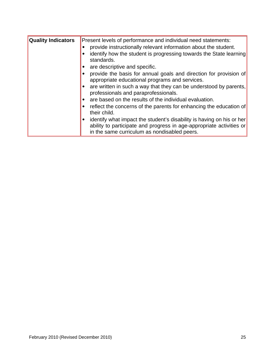| <b>Quality Indicators</b> | Present levels of performance and individual need statements:<br>provide instructionally relevant information about the student.<br>identify how the student is progressing towards the State learning<br>standards.<br>are descriptive and specific.<br>provide the basis for annual goals and direction for provision of<br>appropriate educational programs and services.<br>are written in such a way that they can be understood by parents,<br>professionals and paraprofessionals.<br>are based on the results of the individual evaluation.<br>reflect the concerns of the parents for enhancing the education of<br>their child.<br>identify what impact the student's disability is having on his or her<br>ability to participate and progress in age-appropriate activities or<br>in the same curriculum as nondisabled peers. |
|---------------------------|--------------------------------------------------------------------------------------------------------------------------------------------------------------------------------------------------------------------------------------------------------------------------------------------------------------------------------------------------------------------------------------------------------------------------------------------------------------------------------------------------------------------------------------------------------------------------------------------------------------------------------------------------------------------------------------------------------------------------------------------------------------------------------------------------------------------------------------------|
|---------------------------|--------------------------------------------------------------------------------------------------------------------------------------------------------------------------------------------------------------------------------------------------------------------------------------------------------------------------------------------------------------------------------------------------------------------------------------------------------------------------------------------------------------------------------------------------------------------------------------------------------------------------------------------------------------------------------------------------------------------------------------------------------------------------------------------------------------------------------------------|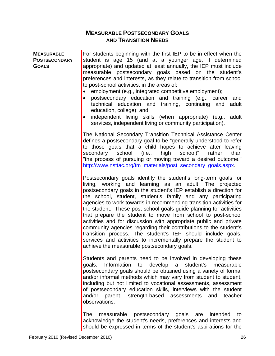## **MEASURABLE POSTSECONDARY GOALS AND TRANSITION NEEDS**

#### <span id="page-28-0"></span>**MEASURABLE POSTSECONDARY GOALS**

For students beginning with the first IEP to be in effect when the student is age 15 (and at a younger age, if determined appropriate) and updated at least annually, the IEP must include measurable postsecondary goals based on the student's preferences and interests, as they relate to transition from school to post-school activities, in the areas of:

- employment (e.g., integrated competitive employment);
- postsecondary education and training (e.g., career and technical education and training, continuing and adult education, college); and
- independent living skills (when appropriate) (e.g., adult services, independent living or community participation).

The National Secondary Transition Technical Assistance Center defines a postsecondary goal to be "generally understood to refer to those goals that a child hopes to achieve after leaving secondary school (i.e., high school)" rather than "the process of pursuing or moving toward a desired outcome." [http://www.nsttac.org/tm\\_materials/post\\_secondary\\_goals.aspx.](http://www.nsttac.org/tm_materials/post_secondary_goals.aspx)

Postsecondary goals identify the student's long-term goals for living, working and learning as an adult. The projected postsecondary goals in the student's IEP establish a direction for the school, student, student's family and any participating agencies to work towards in recommending transition activities for the student. These post-school goals guide planning for activities that prepare the student to move from school to post-school activities and for discussion with appropriate public and private community agencies regarding their contributions to the student's transition process. The student's IEP should include goals, services and activities to incrementally prepare the student to achieve the measurable postsecondary goals.

Students and parents need to be involved in developing these goals. Information to develop a student's measurable postsecondary goals should be obtained using a variety of formal and/or informal methods which may vary from student to student, including but not limited to vocational assessments, assessment of postsecondary education skills, interviews with the student and/or parent, strength-based assessments and teacher observations.

The measurable postsecondary goals are intended to acknowledge the student's needs, preferences and interests and should be expressed in terms of the student's aspirations for the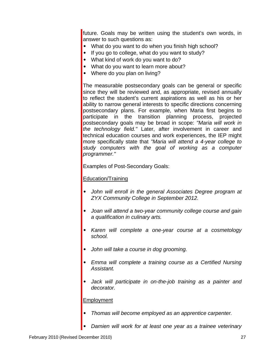future. Goals may be written using the student's own words, in answer to such questions as:

- What do you want to do when you finish high school?
- If you go to college, what do you want to study?
- What kind of work do you want to do?
- What do you want to learn more about?
- Where do you plan on living?

The measurable postsecondary goals can be general or specific since they will be reviewed and, as appropriate, revised annually to reflect the student's current aspirations as well as his or her ability to narrow general interests to specific directions concerning postsecondary plans. For example, when Maria first begins to participate in the transition planning process, projected postsecondary goals may be broad in scope: *"Maria will work in the technology field."* Later, after involvement in career and technical education courses and work experiences, the IEP might more specifically state that *"Maria will attend a 4-year college to study computers with the goal of working as a computer programmer."*

Examples of Post-Secondary Goals:

### Education/Training

- *John will enroll in the general Associates Degree program at ZYX Community College in September 2012.*
- *Joan will attend a two-year community college course and gain a qualification in culinary arts.*
- *Karen will complete a one-year course at a cosmetology school.*
- *John will take a course in dog grooming.*
- *Emma will complete a training course as a Certified Nursing Assistant.*
- *Jack will participate in on-the-job training as a painter and decorator.*

#### Employment

- *Thomas will become employed as an apprentice carpenter.*
- *Damien will work for at least one year as a trainee veterinary*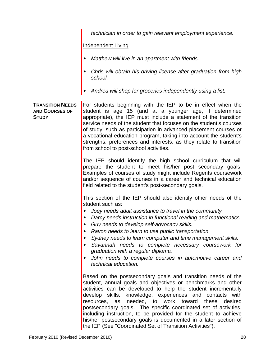|                                                                  | technician in order to gain relevant employment experience.                                                                                                                                                                                                                                                                                                                                                                                                                                                                                                                                         |
|------------------------------------------------------------------|-----------------------------------------------------------------------------------------------------------------------------------------------------------------------------------------------------------------------------------------------------------------------------------------------------------------------------------------------------------------------------------------------------------------------------------------------------------------------------------------------------------------------------------------------------------------------------------------------------|
|                                                                  | <b>Independent Living</b>                                                                                                                                                                                                                                                                                                                                                                                                                                                                                                                                                                           |
|                                                                  | Matthew will live in an apartment with friends.                                                                                                                                                                                                                                                                                                                                                                                                                                                                                                                                                     |
|                                                                  | Chris will obtain his driving license after graduation from high<br>school.                                                                                                                                                                                                                                                                                                                                                                                                                                                                                                                         |
|                                                                  | Andrea will shop for groceries independently using a list.                                                                                                                                                                                                                                                                                                                                                                                                                                                                                                                                          |
| <b>TRANSITION NEEDS</b><br><b>AND COURSES OF</b><br><b>STUDY</b> | For students beginning with the IEP to be in effect when the<br>student is age 15 (and at a younger age, if determined<br>appropriate), the IEP must include a statement of the transition<br>service needs of the student that focuses on the student's courses<br>of study, such as participation in advanced placement courses or<br>a vocational education program, taking into account the student's<br>strengths, preferences and interests, as they relate to transition<br>from school to post-school activities.                                                                           |
|                                                                  | The IEP should identify the high school curriculum that will<br>prepare the student to meet his/her post secondary goals.<br>Examples of courses of study might include Regents coursework<br>and/or sequence of courses in a career and technical education<br>field related to the student's post-secondary goals.                                                                                                                                                                                                                                                                                |
|                                                                  | This section of the IEP should also identify other needs of the<br>student such as:<br>Joey needs adult assistance to travel in the community<br>$\bullet$<br>Darcy needs instruction in functional reading and mathematics.<br>Guy needs to develop self-advocacy skills.<br>Ravon needs to learn to use public transportation.<br>Sydney needs to learn computer and time management skills.<br>Savannah needs to complete necessary coursework for<br>graduation with a regular diploma.<br>John needs to complete courses in automotive career and<br>technical education.                      |
|                                                                  | Based on the postsecondary goals and transition needs of the<br>student, annual goals and objectives or benchmarks and other<br>activities can be developed to help the student incrementally<br>knowledge, experiences and contacts with<br>develop<br>skills,<br>needed, to work toward these desired<br>resources,<br>as<br>postsecondary goals. The specific coordinated set of activities,<br>including instruction, to be provided for the student to achieve<br>his/her postsecondary goals is documented in a later section of<br>the IEP (See "Coordinated Set of Transition Activities"). |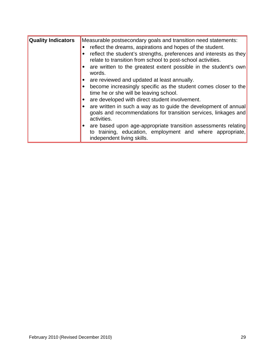| <b>Quality Indicators</b> | Measurable postsecondary goals and transition need statements:<br>reflect the dreams, aspirations and hopes of the student.<br>reflect the student's strengths, preferences and interests as they<br>relate to transition from school to post-school activities.<br>• are written to the greatest extent possible in the student's own<br>words.<br>are reviewed and updated at least annually.<br>become increasingly specific as the student comes closer to the<br>time he or she will be leaving school.<br>are developed with direct student involvement. |
|---------------------------|----------------------------------------------------------------------------------------------------------------------------------------------------------------------------------------------------------------------------------------------------------------------------------------------------------------------------------------------------------------------------------------------------------------------------------------------------------------------------------------------------------------------------------------------------------------|
|                           | are written in such a way as to guide the development of annual<br>goals and recommendations for transition services, linkages and<br>activities.<br>are based upon age-appropriate transition assessments relating<br>to training, education, employment and where appropriate,<br>independent living skills.                                                                                                                                                                                                                                                 |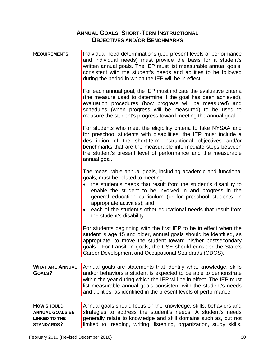| <b>ANNUAL GOALS, SHORT-TERM INSTRUCTIONAL</b> |  |
|-----------------------------------------------|--|
| <b>OBJECTIVES AND/OR BENCHMARKS</b>           |  |
|                                               |  |

<span id="page-32-0"></span>**REQUIREMENTS** | Individual need determinations (i.e., present levels of performance and individual needs) must provide the basis for a student's written annual goals. The IEP must list measurable annual goals, consistent with the student's needs and abilities to be followed during the period in which the IEP will be in effect.

> For each annual goal, the IEP must indicate the evaluative criteria (the measure used to determine if the goal has been achieved), evaluation procedures (how progress will be measured) and schedules (when progress will be measured) to be used to measure the student's progress toward meeting the annual goal.

> For students who meet the eligibility criteria to take NYSAA and for preschool students with disabilities, the IEP must include a description of the short-term instructional objectives and/or benchmarks that are the measurable intermediate steps between the student's present level of performance and the measurable annual goal.

> The measurable annual goals, including academic and functional goals, must be related to meeting:

- the student's needs that result from the student's disability to enable the student to be involved in and progress in the general education curriculum (or for preschool students, in appropriate activities); and
- each of the student's other educational needs that result from the student's disability.

For students beginning with the first IEP to be in effect when the student is age 15 and older, annual goals should be identified, as appropriate, to move the student toward his/her postsecondary goals. For transition goals, the CSE should consider the State's Career Development and Occupational Standards (CDOS).

**WHAT ARE ANNUAL GOALS?**  Annual goals are statements that identify what knowledge, skills and/or behaviors a student is expected to be able to demonstrate within the year during which the IEP will be in effect. The IEP must list measurable annual goals consistent with the student's needs and abilities, as identified in the present levels of performance.

**HOW SHOULD ANNUAL GOALS BE LINKED TO THE STANDARDS?**  Annual goals should focus on the knowledge, skills, behaviors and strategies to address the student's needs. A student's needs generally relate to knowledge and skill domains such as, but not limited to, reading, writing, listening, organization, study skills,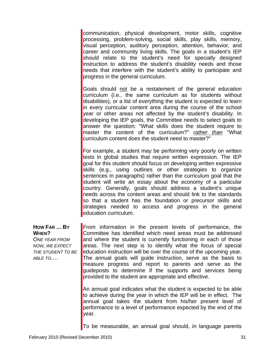communication, physical development, motor skills, cognitive processing, problem-solving, social skills, play skills, memory, visual perception, auditory perception, attention, behavior, and career and community living skills. The goals in a student's IEP should relate to the student's need for specially designed instruction to address the student's disability needs and those needs that interfere with the student's ability to participate and progress in the general curriculum.

Goals should not be a restatement of the general education curriculum (i.e., the same curriculum as for students without disabilities), or a list of everything the student is expected to learn in every curricular content area during the course of the school year or other areas not affected by the student's disability. In developing the IEP goals, the Committee needs to select goals to answer the question: "What skills does the student require to master the content of the curriculum?" *rather than* "What curriculum content does the student need to master?"

For example, a student may be performing very poorly on written tests in global studies that require written expression. The IEP goal for this student should focus on developing written expressive skills (e.g., using outlines or other strategies to organize sentences in paragraphs) rather than the curriculum goal that the student will write an essay about the economy of a particular country. Generally, goals should address a student's unique needs across the content areas and should link to the standards so that a student has the foundation or precursor skills and strategies needed to access and progress in the general education curriculum.

#### **HOW FAR … BY WHEN?**

*ONE YEAR FROM NOW, WE EXPECT THE STUDENT TO BE ABLE TO….*

#### From information in the present levels of performance, the Committee has identified which need areas must be addressed and where the student is currently functioning in each of those areas. The next step is to identify what the focus of special education instruction will be over the course of the upcoming year. The annual goals will guide instruction, serve as the basis to measure progress and report to parents and serve as the guideposts to determine if the supports and services being provided to the student are appropriate and effective.

An annual goal indicates what the student is expected to be able to achieve during the year in which the IEP will be in effect. The annual goal takes the student from his/her present level of performance to a level of performance expected by the end of the year.

To be measurable, an annual goal should, in language parents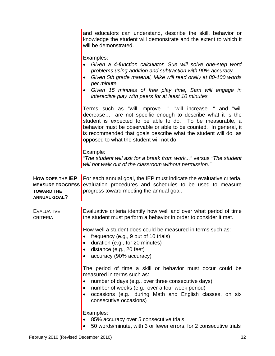|                                                                                         | and educators can understand, describe the skill, behavior or<br>knowledge the student will demonstrate and the extent to which it<br>will be demonstrated.                                                                                                                                                                                                              |
|-----------------------------------------------------------------------------------------|--------------------------------------------------------------------------------------------------------------------------------------------------------------------------------------------------------------------------------------------------------------------------------------------------------------------------------------------------------------------------|
|                                                                                         | Examples:<br>Given a 4-function calculator, Sue will solve one-step word<br>problems using addition and subtraction with 90% accuracy.<br>Given 5th grade material, Mike will read orally at 80-100 words<br>per minute.<br>Given 15 minutes of free play time, Sam will engage in<br>interactive play with peers for at least 10 minutes.                               |
|                                                                                         | Terms such as "will improve," "will increase" and "will<br>decrease" are not specific enough to describe what it is the<br>student is expected to be able to do. To be measurable, a<br>behavior must be observable or able to be counted. In general, it<br>is recommended that goals describe what the student will do, as<br>opposed to what the student will not do. |
|                                                                                         | Example:<br>"The student will ask for a break from work" versus "The student<br>will not walk out of the classroom without permission."                                                                                                                                                                                                                                  |
| HOW DOES THE IEP<br><b>MEASURE PROGRESS</b><br><b>TOWARD THE</b><br><b>ANNUAL GOAL?</b> | For each annual goal, the IEP must indicate the evaluative criteria,<br>evaluation procedures and schedules to be used to measure<br>progress toward meeting the annual goal.                                                                                                                                                                                            |
| <b>EVALUATIVE</b><br><b>CRITERIA</b>                                                    | Evaluative criteria identify how well and over what period of time<br>the student must perform a behavior in order to consider it met.                                                                                                                                                                                                                                   |
|                                                                                         | How well a student does could be measured in terms such as:<br>frequency (e.g., 9 out of 10 trials)<br>duration (e.g., for 20 minutes)<br>distance (e.g., 20 feet)<br>accuracy (90% accuracy)                                                                                                                                                                            |
|                                                                                         | The period of time a skill or behavior must occur could be<br>measured in terms such as:<br>number of days (e.g., over three consecutive days)                                                                                                                                                                                                                           |
|                                                                                         | number of weeks (e.g., over a four week period)<br>$\bullet$<br>occasions (e.g., during Math and English classes, on six<br>consecutive occasions)                                                                                                                                                                                                                       |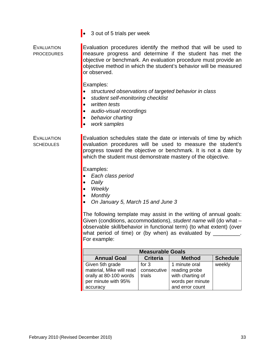• 3 out of 5 trials per week

**EVALUATION** PROCEDURES Evaluation procedures identify the method that will be used to measure progress and determine if the student has met the objective or benchmark. An evaluation procedure must provide an objective method in which the student's behavior will be measured or observed.

Examples:

- *structured observations of targeted behavior in class*
- *student self-monitoring checklist*
- *written tests*
- *audio-visual recordings*
- *behavior charting*
- *work samples*

EVALUATION **SCHEDULES** 

Evaluation schedules state the date or intervals of time by which evaluation procedures will be used to measure the student's progress toward the objective or benchmark. It is not a date by which the student must demonstrate mastery of the objective.

Examples:

- *Each class period*
- *Daily*
- *Weekly*
- *Monthly*
- *On January 5, March 15 and June 3*

The following template may assist in the writing of annual goals: Given (conditions, accommodations), *student name* will (do what – observable skill/behavior in functional term) (to what extent) (over what period of time) or (by when) as evaluated by \_\_\_\_\_\_\_\_\_ For example:

| <b>Measurable Goals</b>  |                 |                  |                 |
|--------------------------|-----------------|------------------|-----------------|
| <b>Annual Goal</b>       | <b>Criteria</b> | <b>Method</b>    | <b>Schedule</b> |
| Given 5th grade          | for $3$         | 1 minute oral    | weekly          |
| material, Mike will read | consecutive     | reading probe    |                 |
| orally at 80-100 words   | trials          | with charting of |                 |
| per minute with 95%      |                 | words per minute |                 |
| accuracy                 |                 | and error count  |                 |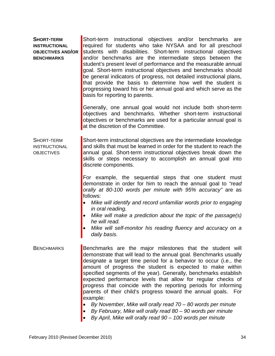**SHORT-TERM INSTRUCTIONAL OBJECTIVES AND/OR BENCHMARKS** Short-term instructional objectives and/or benchmarks are required for students who take NYSAA and for all preschool students with disabilities. Short-term instructional objectives and/or benchmarks are the intermediate steps between the student's present level of performance and the measurable annual goal. Short-term instructional objectives and benchmarks should be general indicators of progress, not detailed instructional plans, that provide the basis to determine how well the student is progressing toward his or her annual goal and which serve as the basis for reporting to parents.

Generally, one annual goal would not include both short-term objectives and benchmarks. Whether short-term instructional objectives or benchmarks are used for a particular annual goal is at the discretion of the Committee.

SHORT-TERM **INSTRUCTIONAL OBJECTIVES** Short-term instructional objectives are the intermediate knowledge and skills that must be learned in order for the student to reach the annual goal. Short-term instructional objectives break down the skills or steps necessary to accomplish an annual goal into discrete components.

> For example, the sequential steps that one student must demonstrate in order for him to reach the annual goal to *"read orally at 80-100 words per minute with 95% accuracy"* are as follows:

- *Mike will identify and record unfamiliar words prior to engaging in oral reading.*
- *Mike will make a prediction about the topic of the passage(s) he will read.*
- *Mike will self-monitor his reading fluency and accuracy on a daily basis.*

#### BENCHMARKS Benchmarks are the major milestones that the student will demonstrate that will lead to the annual goal. Benchmarks usually designate a target time period for a behavior to occur (i.e., the amount of progress the student is expected to make within specified segments of the year). Generally, benchmarks establish expected performance levels that allow for regular checks of progress that coincide with the reporting periods for informing parents of their child's progress toward the annual goals. For example:

- *By November, Mike will orally read 70 80 words per minute*
- *By February, Mike will orally read 80 90 words per minute*
	- *By April, Mike will orally read 90 100 words per minute*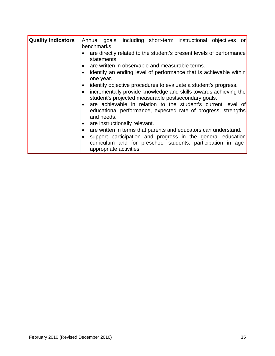| <b>Quality Indicators</b> | Annual goals, including short-term instructional objectives or<br>benchmarks:                                                                                                                                                                                                                                                                                                                                                                                                                                                                                                                         |
|---------------------------|-------------------------------------------------------------------------------------------------------------------------------------------------------------------------------------------------------------------------------------------------------------------------------------------------------------------------------------------------------------------------------------------------------------------------------------------------------------------------------------------------------------------------------------------------------------------------------------------------------|
|                           | are directly related to the student's present levels of performance<br>statements.<br>are written in observable and measurable terms.<br>identify an ending level of performance that is achievable within<br>one year.<br>identify objective procedures to evaluate a student's progress.<br>incrementally provide knowledge and skills towards achieving the<br>student's projected measurable postsecondary goals.<br>are achievable in relation to the student's current level of<br>educational performance, expected rate of progress, strengths<br>and needs.<br>are instructionally relevant. |
|                           | are written in terms that parents and educators can understand.<br>support participation and progress in the general education<br>curriculum and for preschool students, participation in age-<br>appropriate activities.                                                                                                                                                                                                                                                                                                                                                                             |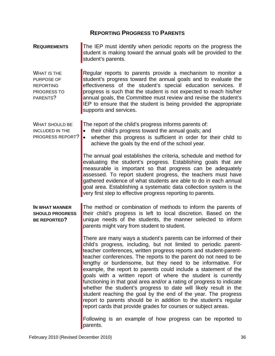# **REPORTING PROGRESS TO PARENTS**

**REQUIREMENTS** The IEP must identify when periodic reports on the progress the student is making toward the annual goals will be provided to the student's parents.

WHAT IS THE PURPOSE OF REPORTING PROGRESS TO PARENTS? Regular reports to parents provide a mechanism to monitor a student's progress toward the annual goals and to evaluate the effectiveness of the student's special education services. If progress is such that the student is not expected to reach his/her annual goals, the Committee must review and revise the student's IEP to ensure that the student is being provided the appropriate supports and services.

WHAT SHOULD BE

INCLUDED IN THE PROGRESS REPORT?

- The report of the child's progress informs parents of:
- their child's progress toward the annual goals; and
- whether this progress is sufficient in order for their child to achieve the goals by the end of the school year.

The annual goal establishes the criteria, schedule and method for evaluating the student's progress. Establishing goals that are measurable is important so that progress can be adequately assessed. To report student progress, the teachers must have gathered evidence of what students are able to do in each annual goal area. Establishing a systematic data collection system is the very first step to effective progress reporting to parents.

**IN WHAT MANNER SHOULD PROGRESS BE REPORTED?**  The method or combination of methods to inform the parents of their child's progress is left to local discretion. Based on the unique needs of the students, the manner selected to inform parents might vary from student to student.

> There are many ways a student's parents can be informed of their child's progress, including, but not limited to periodic parentteacher conferences, written progress reports and student-parentteacher conferences. The reports to the parent do not need to be lengthy or burdensome, but they need to be informative. For example, the report to parents could include a statement of the goals with a written report of where the student is currently functioning in that goal area and/or a rating of progress to indicate whether the student's progress to date will likely result in the student reaching the goal by the end of the year. The progress report to parents should be in addition to the student's regular report cards that provide grades for courses or subject areas.

> Following is an example of how progress can be reported to parents.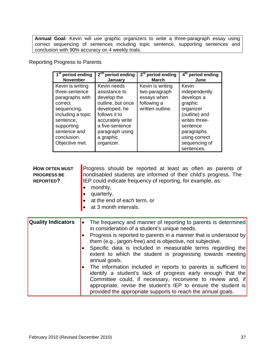**Annual Goal:** Kevin will use graphic organizers to write a three-paragraph essay using correct sequencing of sentences including topic sentence, supporting sentences and conclusion with 90% accuracy on 4 weekly trials.

Reporting Progress to Parents

| 1 <sup>st</sup> period ending                                                                                                                                                    | $2nd$ period ending                                                                                                                                                                     | 3 <sup>rd</sup> period ending                                                       | 4 <sup>th</sup> period ending                                                                                                                                            |
|----------------------------------------------------------------------------------------------------------------------------------------------------------------------------------|-----------------------------------------------------------------------------------------------------------------------------------------------------------------------------------------|-------------------------------------------------------------------------------------|--------------------------------------------------------------------------------------------------------------------------------------------------------------------------|
| <b>November</b>                                                                                                                                                                  | January                                                                                                                                                                                 | <b>March</b>                                                                        | June                                                                                                                                                                     |
| Kevin is writing<br>three-sentence<br>paragraphs with<br>correct<br>sequencing,<br>including a topic<br>sentence,<br>supporting<br>sentence and<br>conclusion.<br>Objective met. | Kevin needs<br>assistance to<br>develop the<br>outline, but once<br>developed, he<br>follows it to<br>accurately write<br>a five-sentence<br>paragraph using<br>a graphic<br>organizer. | Kevin is writing<br>two-paragraph<br>essays when<br>following a<br>written outline. | Kevin<br>independently<br>develops a<br>graphic<br>organizer<br>(outline) and<br>writes three-<br>sentence<br>paragraphs<br>using correct<br>sequencing of<br>sentences. |

| <b>HOW OFTEN MUST</b><br><b>PROGRESS BE</b><br><b>REPORTED?</b> | Progress should be reported at least as often as parents of<br>nondisabled students are informed of their child's progress. The<br>IEP could indicate frequency of reporting, for example, as:<br>monthly,<br>quarterly,<br>at the end of each term, or<br>at 3 month intervals.                                                                                                                                                                                                                                                                                                                                                                                                                                                                |
|-----------------------------------------------------------------|-------------------------------------------------------------------------------------------------------------------------------------------------------------------------------------------------------------------------------------------------------------------------------------------------------------------------------------------------------------------------------------------------------------------------------------------------------------------------------------------------------------------------------------------------------------------------------------------------------------------------------------------------------------------------------------------------------------------------------------------------|
| <b>Quality Indicators</b>                                       | The frequency and manner of reporting to parents is determined<br>$\bullet$<br>in consideration of a student's unique needs.<br>Progress is reported to parents in a manner that is understood by<br>them (e.g., jargon-free) and is objective, not subjective.<br>Specific data is included in measurable terms regarding the<br>extent to which the student is progressing towards meeting<br>annual goals.<br>The information included in reports to parents is sufficient to<br>identify a student's lack of progress early enough that the<br>Committee could, if necessary, reconvene to review and, if<br>appropriate, revise the student's IEP to ensure the student is<br>provided the appropriate supports to reach the annual goals. |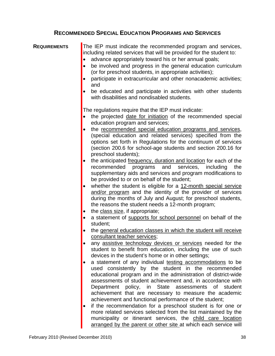# **RECOMMENDED SPECIAL EDUCATION PROGRAMS AND SERVICES**

| <b>REQUIREMENTS</b> | The IEP must indicate the recommended program and services,<br>including related services that will be provided for the student to:<br>advance appropriately toward his or her annual goals;<br>$\bullet$<br>be involved and progress in the general education curriculum<br>$\bullet$<br>(or for preschool students, in appropriate activities);<br>participate in extracurricular and other nonacademic activities;<br>and<br>be educated and participate in activities with other students<br>with disabilities and nondisabled students. |
|---------------------|----------------------------------------------------------------------------------------------------------------------------------------------------------------------------------------------------------------------------------------------------------------------------------------------------------------------------------------------------------------------------------------------------------------------------------------------------------------------------------------------------------------------------------------------|
|                     |                                                                                                                                                                                                                                                                                                                                                                                                                                                                                                                                              |
|                     | The regulations require that the IEP must indicate:                                                                                                                                                                                                                                                                                                                                                                                                                                                                                          |
|                     | the projected date for initiation of the recommended special<br>education program and services;                                                                                                                                                                                                                                                                                                                                                                                                                                              |
|                     | the recommended special education programs and services,                                                                                                                                                                                                                                                                                                                                                                                                                                                                                     |
|                     | (special education and related services) specified from the<br>options set forth in Regulations for the continuum of services<br>(section 200.6 for school-age students and section 200.16 for                                                                                                                                                                                                                                                                                                                                               |
|                     | preschool students);                                                                                                                                                                                                                                                                                                                                                                                                                                                                                                                         |
|                     | the anticipated frequency, duration and location for each of the<br>services,<br>including<br>recommended<br>programs and<br>the<br>supplementary aids and services and program modifications to<br>be provided to or on behalf of the student;                                                                                                                                                                                                                                                                                              |
|                     | whether the student is eligible for a 12-month special service<br>and/or program and the identity of the provider of services<br>during the months of July and August; for preschool students,<br>the reasons the student needs a 12-month program;                                                                                                                                                                                                                                                                                          |
|                     | the class size, if appropriate;                                                                                                                                                                                                                                                                                                                                                                                                                                                                                                              |
|                     | a statement of supports for school personnel on behalf of the<br>student;                                                                                                                                                                                                                                                                                                                                                                                                                                                                    |
|                     | the general education classes in which the student will receive                                                                                                                                                                                                                                                                                                                                                                                                                                                                              |
|                     | consultant teacher services;                                                                                                                                                                                                                                                                                                                                                                                                                                                                                                                 |
|                     | any assistive technology devices or services needed for the<br>student to benefit from education, including the use of such<br>devices in the student's home or in other settings;                                                                                                                                                                                                                                                                                                                                                           |
|                     | a statement of any individual testing accommodations to be                                                                                                                                                                                                                                                                                                                                                                                                                                                                                   |
|                     | used consistently by the student in the recommended                                                                                                                                                                                                                                                                                                                                                                                                                                                                                          |
|                     | educational program and in the administration of district-wide<br>assessments of student achievement and, in accordance with<br>policy, in State<br>Department<br>assessments<br>0f<br>student                                                                                                                                                                                                                                                                                                                                               |
|                     | achievement that are necessary to measure the academic                                                                                                                                                                                                                                                                                                                                                                                                                                                                                       |

• if the recommendation for a preschool student is for one or more related services selected from the list maintained by the municipality or itinerant services, the child care location arranged by the parent or other site at which each service will

achievement and functional performance of the student;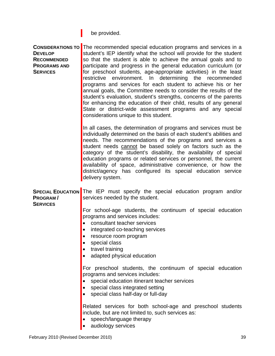be provided.

**CONSIDERATIONS TO**  The recommended special education programs and services in a **DEVELOP RECOMMENDED PROGRAMS AND SERVICES** student's IEP identify what the school will provide for the student so that the student is able to achieve the annual goals and to participate and progress in the general education curriculum (or for preschool students, age-appropriate activities) in the least restrictive environment. In determining the recommended programs and services for each student to achieve his or her annual goals, the Committee needs to consider the results of the student's evaluation, student's strengths, concerns of the parents for enhancing the education of their child, results of any general State or district-wide assessment programs and any special considerations unique to this student.

> In all cases, the determination of programs and services must be individually determined on the basis of each student's abilities and needs. The recommendations of the programs and services a student needs cannot be based solely on factors such as the category of the student's disability, the availability of special education programs or related services or personnel, the current availability of space, administrative convenience, or how the district/agency has configured its special education service delivery system.

**SPECIAL EDUCATION** The IEP must specify the special education program and/or **PROGRAM / SERVICES** services needed by the student. For school-age students, the continuum of special education programs and services includes: • consultant teacher services • integrated co-teaching services • resource room program • special class • travel training • adapted physical education For preschool students, the continuum of special education programs and services includes:

- special education itinerant teacher services
- special class integrated setting
- special class half-day or full-day

Related services for both school-age and preschool students include, but are not limited to, such services as:

- speech/language therapy
- audiology services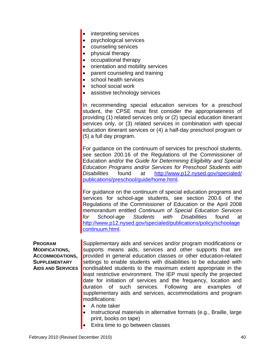- interpreting services
- psychological services
- counseling services
- physical therapy
- occupational therapy
- orientation and mobility services
- parent counseling and training
- school health services
- school social work
- assistive technology services

In recommending special education services for a preschool student, the CPSE must first consider the appropriateness of providing (1) related services only or (2) special education itinerant services only, or (3) related services in combination with special education itinerant services or (4) a half-day preschool program or (5) a full day program.

For guidance on the continuum of services for preschool students, see section 200.16 of the Regulations of the Commissioner of Education and/or the *Guide for Determining Eligibility and Special Education Programs and/or Services for Preschool Students with Disabilities* found at [http://www.p12.nysed.gov/specialed/](http://www.p12.nysed.gov/specialed/publications/preschool/guide/home.html) [publications/preschool/guide/home.html](http://www.p12.nysed.gov/specialed/publications/preschool/guide/home.html).

For guidance on the continuum of special education programs and services for school-age students, see section 200.6 of the Regulations of the Commissioner of Education or the April 2008 memorandum entitled *Continuum of Special Education Services for School-age Students with Disabilities* found at [http://www.p12.nysed.gov/specialed/publications/policy/schoolage](http://www.p12.nysed.gov/specialed/publications/policy/schoolagecontinuum.html) [continuum.html.](http://www.p12.nysed.gov/specialed/publications/policy/schoolagecontinuum.html)

**PROGRAM MODIFICATIONS, ACCOMMODATIONS, SUPPLEMENTARY AIDS AND SERVICES**

Supplementary aids and services and/or program modifications or supports means aids, services and other supports that are provided in general education classes or other education-related settings to enable students with disabilities to be educated with nondisabled students to the maximum extent appropriate in the least restrictive environment. The IEP must specify the projected date for initiation of services and the frequency, location and duration of such services. Following are examples of supplementary aids and services, accommodations and program modifications:

- A note taker
- Instructional materials in alternative formats (e.g., Braille, large print, books on tape)
- Extra time to go between classes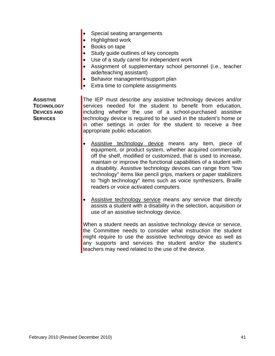- Special seating arrangements
- Highlighted work
- Books on tape
- Study guide outlines of key concepts
- Use of a study carrel for independent work
- Assignment of supplementary school personnel (i.e., teacher aide/teaching assistant)
- Behavior management/support plan
- Extra time to complete assignments

**ASSISTIVE TECHNOLOGY DEVICES AND SERVICES**

The IEP must describe any assistive technology devices and/or services needed for the student to benefit from education, including whether the use of a school-purchased assistive technology device is required to be used in the student's home or in other settings in order for the student to receive a free appropriate public education.

- Assistive technology device means any item, piece of equipment, or product system, whether acquired commercially off the shelf, modified or customized, that is used to increase, maintain or improve the functional capabilities of a student with a disability. Assistive technology devices can range from "low technology" items like pencil grips, markers or paper stabilizers to "high technology" items such as voice synthesizers, Braille readers or voice activated computers.
- Assistive technology service means any service that directly assists a student with a disability in the selection, acquisition or use of an assistive technology device.

When a student needs an assistive technology device or service, the Committee needs to consider what instruction the student might require to use the assistive technology device as well as any supports and services the student and/or the student's teachers may need related to the use of the device.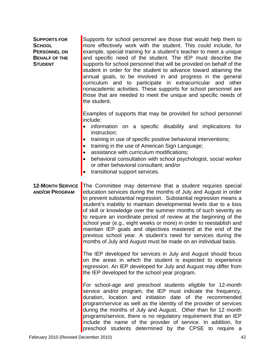| <b>SUPPORTS FOR</b><br><b>SCHOOL</b><br><b>PERSONNEL ON</b><br><b>BEHALF OF THE</b><br><b>STUDENT</b> | Supports for school personnel are those that would help them to<br>more effectively work with the student. This could include, for<br>example, special training for a student's teacher to meet a unique<br>and specific need of the student. The IEP must describe the<br>supports for school personnel that will be provided on behalf of the<br>student in order for the student to advance toward attaining the<br>annual goals, to be involved in and progress in the general<br>curriculum and to participate in extracurricular and other<br>nonacademic activities. These supports for school personnel are<br>those that are needed to meet the unique and specific needs of<br>the student.                                                                                                                           |
|-------------------------------------------------------------------------------------------------------|---------------------------------------------------------------------------------------------------------------------------------------------------------------------------------------------------------------------------------------------------------------------------------------------------------------------------------------------------------------------------------------------------------------------------------------------------------------------------------------------------------------------------------------------------------------------------------------------------------------------------------------------------------------------------------------------------------------------------------------------------------------------------------------------------------------------------------|
|                                                                                                       | Examples of supports that may be provided for school personnel<br>include:<br>information on a specific disability and implications for<br>instruction;<br>training in use of specific positive behavioral interventions;<br>training in the use of American Sign Language;<br>assistance with curriculum modifications;<br>behavioral consultation with school psychologist, social worker<br>or other behavioral consultant; and/or<br>transitional support services.                                                                                                                                                                                                                                                                                                                                                         |
| <b>12-MONTH SERVICE</b><br><b>AND/OR PROGRAM</b>                                                      | The Committee may determine that a student requires special<br>education services during the months of July and August in order<br>to prevent substantial regression. Substantial regression means a<br>student's inability to maintain developmental levels due to a loss<br>of skill or knowledge over the summer months of such severity as<br>to require an inordinate period of review at the beginning of the<br>school year (e.g., eight weeks or more) in order to reestablish and<br>maintain IEP goals and objectives mastered at the end of the<br>previous school year. A student's need for services during the<br>months of July and August must be made on an individual basis.<br>The IEP developed for services in July and August should focus<br>on the areas in which the student is expected to experience |
|                                                                                                       | regression. An IEP developed for July and August may differ from<br>the IEP developed for the school year program.<br>For school-age and preschool students eligible for 12-month<br>service and/or program, the IEP must indicate the frequency,<br>duration, location and initiation date of the recommended<br>program/service as well as the identity of the provider of services<br>during the months of July and August. Other than for 12 month<br>programs/service, there is no regulatory requirement that an IEP                                                                                                                                                                                                                                                                                                      |
| February 2010 (Revised December 2010)                                                                 | include the name of the provider of service. In addition, for<br>preschool students determined by the CPSE to require a<br>42                                                                                                                                                                                                                                                                                                                                                                                                                                                                                                                                                                                                                                                                                                   |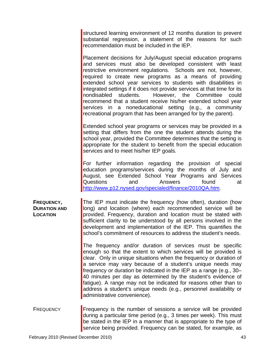structured learning environment of 12 months duration to prevent substantial regression, a statement of the reasons for such recommendation must be included in the IEP.

Placement decisions for July/August special education programs and services must also be developed consistent with least restrictive environment regulations. Schools are not, however, required to create new programs as a means of providing extended school year services to students with disabilities in integrated settings if it does not provide services at that time for its nondisabled students. However, the Committee could recommend that a student receive his/her extended school year services in a noneducational setting (e.g., a community recreational program that has been arranged for by the parent).

Extended school year programs or services may be provided in a setting that differs from the one the student attends during the school year, provided the Committee determines that the setting is appropriate for the student to benefit from the special education services and to meet his/her IEP goals.

For further information regarding the provision of special education programs/services during the months of July and August, see Extended School Year Programs and Services Questions and Answers found at [http://www.p12.nysed.gov/specialed/finance/2010QA.htm.](http://www.p12.nysed.gov/specialed/finance/2010QA.htm)

**FREQUENCY, DURATION AND LOCATION** The IEP must indicate the frequency (how often), duration (how long) and location (where) each recommended service will be provided. Frequency, duration and location must be stated with sufficient clarity to be understood by all persons involved in the development and implementation of the IEP. This quantifies the school's commitment of resources to address the student's needs.

> The frequency and/or duration of services must be specific enough so that the extent to which services will be provided is clear. Only in unique situations when the frequency or duration of a service may vary because of a student's unique needs may frequency or duration be indicated in the IEP as a range (e.g., 30– 40 minutes per day as determined by the student's evidence of fatigue). A range may not be indicated for reasons other than to address a student's unique needs (e.g., personnel availability or administrative convenience).

FREQUENCY **FREQUENCY** Frequency is the number of sessions a service will be provided during a particular time period (e.g., 3 times per week). This must be stated in the IEP in a manner that is appropriate to the type of service being provided. Frequency can be stated, for example, as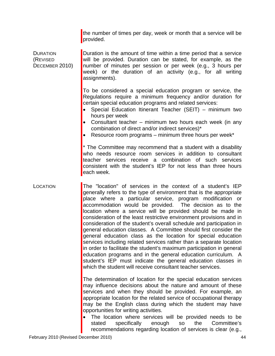the number of times per day, week or month that a service will be provided.

DURATION (REVISED DECEMBER 2010)

Duration is the amount of time within a time period that a service will be provided. Duration can be stated, for example, as the number of minutes per session or per week (e.g., 3 hours per week) or the duration of an activity (e.g., for all writing assignments).

To be considered a special education program or service, the Regulations require a minimum frequency and/or duration for certain special education programs and related services:

- Special Education Itinerant Teacher (SEIT) minimum two hours per week
- Consultant teacher minimum two hours each week (in any combination of direct and/or indirect services)\*
- Resource room programs minimum three hours per week\*

\* The Committee may recommend that a student with a disability who needs resource room services in addition to consultant teacher services receive a combination of such services consistent with the student's IEP for not less than three hours each week.

LOCATION **The "location" of services in the context of a student's IEP** generally refers to the type of environment that is the appropriate place where a particular service, program modification or accommodation would be provided. The decision as to the location where a service will be provided should be made in consideration of the least restrictive environment provisions and in consideration of the student's overall schedule and participation in general education classes. A Committee should first consider the general education class as the location for special education services including related services rather than a separate location in order to facilitate the student's maximum participation in general education programs and in the general education curriculum. A student's IEP must indicate the general education classes in which the student will receive consultant teacher services.

> The determination of location for the special education services may influence decisions about the nature and amount of these services and when they should be provided. For example, an appropriate location for the related service of occupational therapy may be the English class during which the student may have opportunities for writing activities.

> • The location where services will be provided needs to be stated specifically enough so the Committee's recommendations regarding location of services is clear (e.g.,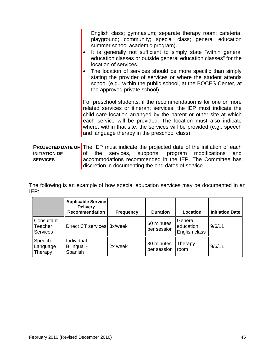English class; gymnasium; separate therapy room; cafeteria; playground; community; special class; general education summer school academic program).

- It is generally not sufficient to simply state "within general education classes or outside general education classes" for the location of services.
- The location of services should be more specific than simply stating the provider of services or where the student attends school (e.g., within the public school, at the BOCES Center, at the approved private school).

For preschool students, if the recommendation is for one or more related services or itinerant services, the IEP must indicate the child care location arranged by the parent or other site at which each service will be provided. The location must also indicate where, within that site, the services will be provided (e.g., speech and language therapy in the preschool class).

**PROJECTED DATE OF** The IEP must indicate the projected date of the initiation of each **INITIATION OF SERVICES** of the services, supports, program modifications and accommodations recommended in the IEP. The Committee has discretion in documenting the end dates of service.

The following is an example of how special education services may be documented in an IEP:

|                                          | <b>Applicable Service</b><br><b>Delivery</b><br><b>Recommendation</b> | <b>Frequency</b> | <b>Duration</b>           | Location                              | <b>Initiation Date</b> |
|------------------------------------------|-----------------------------------------------------------------------|------------------|---------------------------|---------------------------------------|------------------------|
| Consultant<br>Teacher<br><b>Services</b> | Direct CT services 3x/week                                            |                  | 60 minutes<br>per session | General<br>education<br>English class | 9/6/11                 |
| Speech<br>Language<br>Therapy            | Individual.<br>Bilingual -<br>Spanish                                 | 2x week          | 30 minutes<br>per session | <b>Therapy</b><br><b>room</b>         | 9/6/11                 |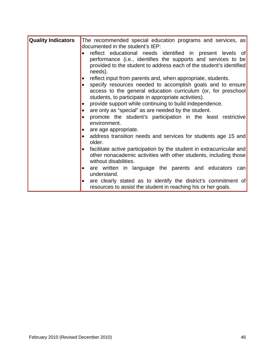| <b>Quality Indicators</b> | The recommended special education programs and services, as<br>documented in the student's IEP:                                                                                                                                                                                                                                                                                                                                                                                                                                                                                                                                                                                                                                                                                                                                                                                                                                                |
|---------------------------|------------------------------------------------------------------------------------------------------------------------------------------------------------------------------------------------------------------------------------------------------------------------------------------------------------------------------------------------------------------------------------------------------------------------------------------------------------------------------------------------------------------------------------------------------------------------------------------------------------------------------------------------------------------------------------------------------------------------------------------------------------------------------------------------------------------------------------------------------------------------------------------------------------------------------------------------|
|                           | reflect educational needs identified in present levels of<br>performance (i.e., identifies the supports and services to be<br>provided to the student to address each of the student's identified<br>needs).<br>reflect input from parents and, when appropriate, students.<br>specify resources needed to accomplish goals and to ensure<br>access to the general education curriculum (or, for preschool<br>students, to participate in appropriate activities).<br>provide support while continuing to build independence.<br>are only as "special" as are needed by the student.<br>promote the student's participation in the least restrictive<br>environment.<br>are age appropriate.<br>address transition needs and services for students age 15 and<br>older.<br>facilitate active participation by the student in extracurricular and<br>other nonacademic activities with other students, including those<br>without disabilities. |
|                           | are written in language the parents and educators can<br>understand.                                                                                                                                                                                                                                                                                                                                                                                                                                                                                                                                                                                                                                                                                                                                                                                                                                                                           |
|                           | are clearly stated as to identify the district's commitment of<br>resources to assist the student in reaching his or her goals.                                                                                                                                                                                                                                                                                                                                                                                                                                                                                                                                                                                                                                                                                                                                                                                                                |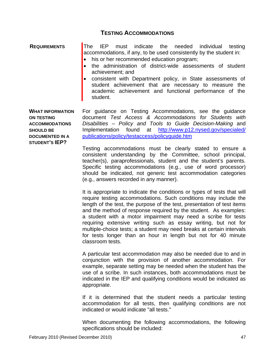### **TESTING ACCOMMODATIONS**

**REQUIREMENTS** The IEP must indicate the needed individual testing accommodations, if any, to be used consistently by the student in:

- his or her recommended education program;
- the administration of district-wide assessments of student achievement; and
- consistent with Department policy, in State assessments of student achievement that are necessary to measure the academic achievement and functional performance of the student.

**WHAT INFORMATION ON TESTING ACCOMMODATIONS SHOULD BE DOCUMENTED IN A STUDENT'S IEP?** 

For guidance on Testing Accommodations, see the guidance document *Test Access & Accommodations for Students with Disabilities – Policy and Tools to Guide Decision-Making* and Implementation found at [http://www.p12.nysed.gov/specialed/](http://www.p12.nysed.gov/specialed/%0Bpublications/policy/testaccess/policyguide.htm) [publications/policy/testaccess/policyguide.htm](http://www.p12.nysed.gov/specialed/%0Bpublications/policy/testaccess/policyguide.htm) 

Testing accommodations must be clearly stated to ensure a consistent understanding by the Committee, school principal, teacher(s), paraprofessionals, student and the student's parents. Specific testing accommodations (e.g., use of word processor) should be indicated, not generic test accommodation categories (e.g., answers recorded in any manner).

It is appropriate to indicate the conditions or types of tests that will require testing accommodations. Such conditions may include the length of the test, the purpose of the test, presentation of test items and the method of response required by the student. As examples: a student with a motor impairment may need a scribe for tests requiring extensive writing such as essay writing, but not for multiple-choice tests; a student may need breaks at certain intervals for tests longer than an hour in length but not for 40 minute classroom tests.

A particular test accommodation may also be needed due to and in conjunction with the provision of another accommodation. For example, separate setting may be needed when the student has the use of a scribe. In such instances, both accommodations must be indicated in the IEP and qualifying conditions would be indicated as appropriate.

If it is determined that the student needs a particular testing accommodation for all tests, then qualifying conditions are not indicated or would indicate "all tests."

When documenting the following accommodations, the following specifications should be included: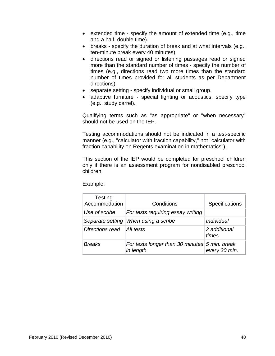- extended time specify the amount of extended time (e.g., time and a half, double time).
- breaks specify the duration of break and at what intervals (e.g., ten-minute break every 40 minutes).
- directions read or signed or listening passages read or signed more than the standard number of times - specify the number of times (e.g., directions read two more times than the standard number of times provided for all students as per Department directions).
- separate setting specify individual or small group.
- adaptive furniture special lighting or acoustics, specify type (e.g., study carrel).

Qualifying terms such as "as appropriate" or "when necessary" should not be used on the IEP.

Testing accommodations should not be indicated in a test-specific manner (e.g., "calculator with fraction capability," not "calculator with fraction capability on Regents examination in mathematics").

This section of the IEP would be completed for preschool children only if there is an assessment program for nondisabled preschool children.

Example:

| Testing<br>Accommodation | Conditions                                                   | Specifications        |
|--------------------------|--------------------------------------------------------------|-----------------------|
| Use of scribe            | For tests requiring essay writing                            |                       |
| Separate setting         | When using a scribe                                          | Individual            |
| Directions read          | All tests                                                    | 2 additional<br>times |
| <b>Breaks</b>            | For tests longer than 30 minutes $5$ min. break<br>in length | every 30 min.         |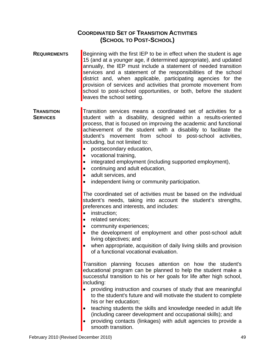# **COORDINATED SET OF TRANSITION ACTIVITIES (SCHOOL TO POST-SCHOOL)**

- **REQUIREMENTS** Beginning with the first IEP to be in effect when the student is age 15 (and at a younger age, if determined appropriate), and updated annually, the IEP must include a statement of needed transition services and a statement of the responsibilities of the school district and, when applicable, participating agencies for the provision of services and activities that promote movement from school to post-school opportunities, or both, before the student leaves the school setting.
- **TRANSITION SERVICES** Transition services means a coordinated set of activities for a student with a disability, designed within a results-oriented process, that is focused on improving the academic and functional achievement of the student with a disability to facilitate the student's movement from school to post-school activities, including, but not limited to:
	- postsecondary education,
	- vocational training,
	- integrated employment (including supported employment),
	- continuing and adult education,
	- adult services, and
	- independent living or community participation.

The coordinated set of activities must be based on the individual student's needs, taking into account the student's strengths, preferences and interests, and includes:

- instruction;
- related services;
- community experiences;
- the development of employment and other post-school adult living objectives; and
- when appropriate, acquisition of daily living skills and provision of a functional vocational evaluation.

Transition planning focuses attention on how the student's educational program can be planned to help the student make a successful transition to his or her goals for life after high school, including:

- providing instruction and courses of study that are meaningful to the student's future and will motivate the student to complete his or her education;
- teaching students the skills and knowledge needed in adult life (including career development and occupational skills); and
- providing contacts (linkages) with adult agencies to provide a smooth transition.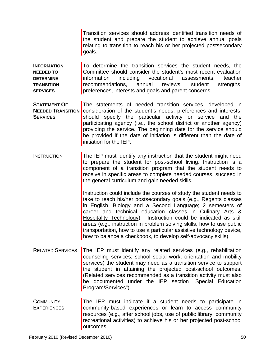Transition services should address identified transition needs of the student and prepare the student to achieve annual goals relating to transition to reach his or her projected postsecondary goals.

**INFORMATION NEEDED TO DETERMINE TRANSITION SERVICES** To determine the transition services the student needs, the Committee should consider the student's most recent evaluation information including vocational assessments, teacher recommendations, annual reviews, student strengths, preferences, interests and goals and parent concerns.

**STATEMENT OF NEEDED TRANSITION SERVICES** The statements of needed transition services, developed in consideration of the student's needs, preferences and interests, should specify the particular activity or service and the participating agency (i.e., the school district or another agency) providing the service. The beginning date for the service should be provided if the date of initiation is different than the date of initiation for the IEP.

INSTRUCTION **The IEP** must identify any instruction that the student might need to prepare the student for post-school living. Instruction is a component of a transition program that the student needs to receive in specific areas to complete needed courses, succeed in the general curriculum and gain needed skills.

> Instruction could include the courses of study the student needs to take to reach his/her postsecondary goals (e.g., Regents classes in English, Biology and a Second Language; 2 semesters of career and technical education classes in [Culinary Arts &](http://www.bocescareertech.org/Programs/hospcultech.htm)  [Hospitality Technology](http://www.bocescareertech.org/Programs/hospcultech.htm)). Instruction could be indicated as skill areas (e.g., instruction in problem solving skills, how to use public transportation, how to use a particular assistive technology device, how to balance a checkbook, to develop self-advocacy skills).

- RELATED SERVICES The IEP must identify any related services (e.g., rehabilitation counseling services; school social work; orientation and mobility services) the student may need as a transition service to support the student in attaining the projected post-school outcomes. (Related services recommended as a transition activity must also be documented under the IEP section "Special Education Program/Services").
- **COMMUNITY EXPERIENCES** The IEP must indicate if a student needs to participate in community-based experiences or learn to access community resources (e.g., after school jobs, use of public library, community recreational activities) to achieve his or her projected post-school outcomes.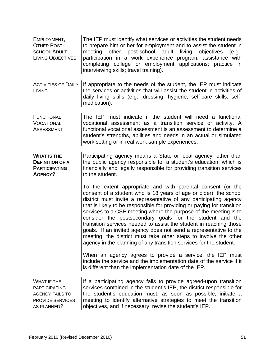EMPLOYMENT, OTHER POST-SCHOOL ADULT LIVING OBJECTIVES The IEP must identify what services or activities the student needs to prepare him or her for employment and to assist the student in meeting other post-school adult living objectives (e.g., participation in a work experience program; assistance with completing college or employment applications; practice in interviewing skills; travel training).

- ACTIVITIES OF DAILY LIVING If appropriate to the needs of the student, the IEP must indicate the services or activities that will assist the student in activities of daily living skills (e.g., dressing, hygiene, self-care skills, selfmedication).
- **FUNCTIONAL** VOCATIONAL **ASSESSMENT** The IEP must indicate if the student will need a functional vocational assessment as a transition service or activity. A functional vocational assessment is an assessment to determine a student's strengths, abilities and needs in an actual or simulated work setting or in real work sample experiences.

**WHAT IS THE DEFINITION OF A PARTICIPATING AGENCY?**  Participating agency means a State or local agency, other than the public agency responsible for a student's education, which is financially and legally responsible for providing transition services to the student.

> To the extent appropriate and with parental consent (or the consent of a student who is 18 years of age or older), the school district must invite a representative of any participating agency that is likely to be responsible for providing or paying for transition services to a CSE meeting where the purpose of the meeting is to consider the postsecondary goals for the student and the transition services needed to assist the student in reaching those goals. If an invited agency does not send a representative to the meeting, the district must take other steps to involve the other agency in the planning of any transition services for the student.

> When an agency agrees to provide a service, the IEP must include the service and the implementation date of the service if it is different than the implementation date of the IEP.

WHAT IF THE PARTICIPATING AGENCY FAILS TO PROVIDE SERVICES AS PLANNED?

If a participating agency fails to provide agreed-upon transition services contained in the student's IEP, the district responsible for the student's education must, as soon as possible, initiate a meeting to identify alternative strategies to meet the transition objectives, and if necessary, revise the student's IEP.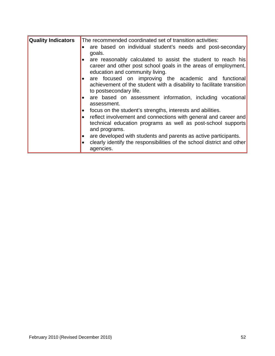| Quality Indicators | The recommended coordinated set of transition activities:<br>are based on individual student's needs and post-secondary<br>goals.<br>are reasonably calculated to assist the student to reach his<br>career and other post school goals in the areas of employment,<br>education and community living.<br>are focused on improving the academic and functional<br>achievement of the student with a disability to facilitate transition<br>to postsecondary life.<br>• are based on assessment information, including vocational<br>assessment.<br>focus on the student's strengths, interests and abilities.<br>reflect involvement and connections with general and career and |
|--------------------|----------------------------------------------------------------------------------------------------------------------------------------------------------------------------------------------------------------------------------------------------------------------------------------------------------------------------------------------------------------------------------------------------------------------------------------------------------------------------------------------------------------------------------------------------------------------------------------------------------------------------------------------------------------------------------|
|                    | technical education programs as well as post-school supports<br>and programs.<br>are developed with students and parents as active participants.<br>clearly identify the responsibilities of the school district and other<br>agencies.                                                                                                                                                                                                                                                                                                                                                                                                                                          |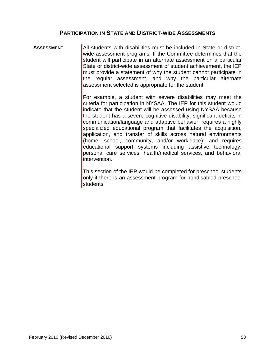#### **PARTICIPATION IN STATE AND DISTRICT-WIDE ASSESSMENTS**

**ASSESSMENT** All students with disabilities must be included in State or districtwide assessment programs. If the Committee determines that the student will participate in an alternate assessment on a particular State or district-wide assessment of student achievement, the IEP must provide a statement of why the student cannot participate in the regular assessment, and why the particular alternate assessment selected is appropriate for the student.

> For example, a student with severe disabilities may meet the criteria for participation in NYSAA. The IEP for this student would indicate that the student will be assessed using NYSAA because the student has a severe cognitive disability, significant deficits in communication/language and adaptive behavior; requires a highly specialized educational program that facilitates the acquisition, application, and transfer of skills across natural environments (home, school, community, and/or workplace); and requires educational support systems including assistive technology, personal care services, health/medical services, and behavioral intervention.

> This section of the IEP would be completed for preschool students only if there is an assessment program for nondisabled preschool students.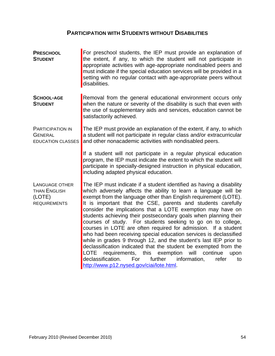# **PARTICIPATION WITH STUDENTS WITHOUT DISABILITIES**

| <b>PRESCHOOL</b><br><b>STUDENT</b>                                            | For preschool students, the IEP must provide an explanation of<br>the extent, if any, to which the student will not participate in<br>appropriate activities with age-appropriate nondisabled peers and<br>must indicate if the special education services will be provided in a<br>setting with no regular contact with age-appropriate peers without<br>disabilities.                                                                                                                                                                                                                                                                                                                                                                                                                                                                                                                                                                                         |
|-------------------------------------------------------------------------------|-----------------------------------------------------------------------------------------------------------------------------------------------------------------------------------------------------------------------------------------------------------------------------------------------------------------------------------------------------------------------------------------------------------------------------------------------------------------------------------------------------------------------------------------------------------------------------------------------------------------------------------------------------------------------------------------------------------------------------------------------------------------------------------------------------------------------------------------------------------------------------------------------------------------------------------------------------------------|
| <b>SCHOOL-AGE</b><br><b>STUDENT</b>                                           | Removal from the general educational environment occurs only<br>when the nature or severity of the disability is such that even with<br>the use of supplementary aids and services, education cannot be<br>satisfactorily achieved.                                                                                                                                                                                                                                                                                                                                                                                                                                                                                                                                                                                                                                                                                                                             |
| <b>PARTICIPATION IN</b><br><b>GENERAL</b><br><b>EDUCATION CLASSES</b>         | The IEP must provide an explanation of the extent, if any, to which<br>a student will not participate in regular class and/or extracurricular<br>and other nonacademic activities with nondisabled peers.                                                                                                                                                                                                                                                                                                                                                                                                                                                                                                                                                                                                                                                                                                                                                       |
|                                                                               | If a student will not participate in a regular physical education<br>program, the IEP must indicate the extent to which the student will<br>participate in specially-designed instruction in physical education,<br>including adapted physical education.                                                                                                                                                                                                                                                                                                                                                                                                                                                                                                                                                                                                                                                                                                       |
| <b>LANGUAGE OTHER</b><br><b>THAN ENGLISH</b><br>(LOTE)<br><b>REQUIREMENTS</b> | The IEP must indicate if a student identified as having a disability<br>which adversely affects the ability to learn a language will be<br>exempt from the language other than English requirement (LOTE).<br>It is important that the CSE, parents and students carefully<br>consider the implications that a LOTE exemption may have on<br>students achieving their postsecondary goals when planning their<br>courses of study. For students seeking to go on to college,<br>courses in LOTE are often required for admission. If a student<br>who had been receiving special education services is declassified<br>while in grades 9 through 12, and the student's last IEP prior to<br>declassification indicated that the student be exempted from the<br>this<br>exemption<br>will<br><b>LOTE</b><br>requirements,<br>continue<br>upon<br>declassification.<br>information,<br>For<br>further<br>refer<br>to<br>http://www.p12.nysed.gov/ciai/lote.html. |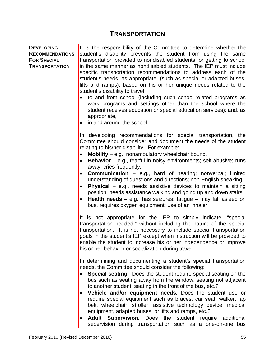# **TRANSPORTATION**

**DEVELOPING RECOMMENDATIONS FOR SPECIAL TRANSPORTATION**

It is the responsibility of the Committee to determine whether the student's disability prevents the student from using the same transportation provided to nondisabled students, or getting to school in the same manner as nondisabled students. The IEP must include specific transportation recommendations to address each of the student's needs, as appropriate, (such as special or adapted buses, lifts and ramps), based on his or her unique needs related to the student's disability to travel:

- to and from school (including such school-related programs as work programs and settings other than the school where the student receives education or special education services); and, as appropriate,
- in and around the school.

In developing recommendations for special transportation, the Committee should consider and document the needs of the student relating to his/her disability. For example:

- **Mobility** e.g., nonambulatory wheelchair bound.
- **Behavior** e.g., fearful in noisy environments; self-abusive; runs away; cries frequently.
- **Communication** e.g., hard of hearing; nonverbal; limited understanding of questions and directions; non-English speaking.
- **Physical** e.g., needs assistive devices to maintain a sitting position; needs assistance walking and going up and down stairs.
- **Health needs** e.g., has seizures; fatigue may fall asleep on bus, requires oxygen equipment; use of an inhaler.

It is not appropriate for the IEP to simply indicate, "special transportation needed," without including the nature of the special transportation. It is not necessary to include special transportation goals in the student's IEP except when instruction will be provided to enable the student to increase his or her independence or improve his or her behavior or socialization during travel.

In determining and documenting a student's special transportation needs, the Committee should consider the following:

- **Special seating.** Does the student require special seating on the bus such as seating away from the window, seating not adjacent to another student, seating in the front of the bus, etc.?
- **Vehicle and/or equipment needs.** Does the student use or require special equipment such as braces, car seat, walker, lap belt, wheelchair, stroller, assistive technology device, medical equipment, adapted buses, or lifts and ramps, etc.?
- **Adult Supervision.** Does the student require additional supervision during transportation such as a one-on-one bus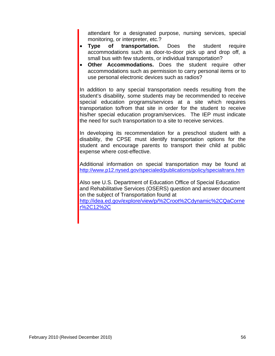attendant for a designated purpose, nursing services, special monitoring, or interpreter, etc.?

- **Type of transportation.** Does the student require accommodations such as door-to-door pick up and drop off, a small bus with few students, or individual transportation?
- **Other Accommodations.** Does the student require other accommodations such as permission to carry personal items or to use personal electronic devices such as radios?

In addition to any special transportation needs resulting from the student's disability, some students may be recommended to receive special education programs/services at a site which requires transportation to/from that site in order for the student to receive his/her special education program/services. The IEP must indicate the need for such transportation to a site to receive services.

In developing its recommendation for a preschool student with a disability, the CPSE must identify transportation options for the student and encourage parents to transport their child at public expense where cost-effective.

Additional information on special transportation may be found at <http://www.p12.nysed.gov/specialed/publications/policy/specialtrans.htm>

Also see U.S. Department of Education Office of Special Education and Rehabilitative Services (OSERS) question and answer document on the subject of Transportation found at

[http://idea.ed.gov/explore/view/p/%2Croot%2Cdynamic%2CQaCorne](http://idea.ed.gov/explore/view/p/%2Croot%2Cdynamic%2CQaCorner%2C12%2C) [r%2C12%2C](http://idea.ed.gov/explore/view/p/%2Croot%2Cdynamic%2CQaCorner%2C12%2C)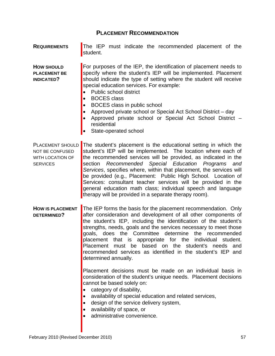#### **PLACEMENT RECOMMENDATION**

**REQUIREMENTS** The IEP must indicate the recommended placement of the student.

**HOW SHOULD PLACEMENT BE INDICATED?** 

For purposes of the IEP, the identification of placement needs to specify where the student's IEP will be implemented. Placement should indicate the type of setting where the student will receive special education services. For example:

- Public school district
- BOCES class
- BOCES class in public school
- Approved private school or Special Act School District day
- Approved private school or Special Act School District residential
- State-operated school

PLACEMENT SHOULD NOT BE CONFUSED WITH LOCATION OF **SERVICES** The student's placement is the educational setting in which the student's IEP will be implemented. The location where each of the recommended services will be provided, as indicated in the section *Recommended Special Education Programs and Services*, specifies where, within that placement, the services will be provided (e.g., Placement: Public High School. Location of Services: consultant teacher services will be provided in the general education math class; individual speech and language therapy will be provided in a separate therapy room).

**HOW IS PLACEMENT DETERMINED?**  The IEP forms the basis for the placement recommendation. Only after consideration and development of all other components of the student's IEP, including the identification of the student's strengths, needs, goals and the services necessary to meet those goals, does the Committee determine the recommended placement that is appropriate for the individual student. Placement must be based on the student's needs and recommended services as identified in the student's IEP and determined annually.

> Placement decisions must be made on an individual basis in consideration of the student's unique needs. Placement decisions cannot be based solely on:

- category of disability,
- availability of special education and related services,
- design of the service delivery system,
- availability of space, or
- administrative convenience.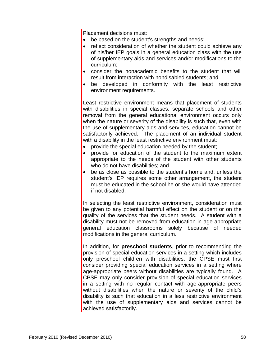Placement decisions must:

- be based on the student's strengths and needs;
- reflect consideration of whether the student could achieve any of his/her IEP goals in a general education class with the use of supplementary aids and services and/or modifications to the curriculum;
- consider the nonacademic benefits to the student that will result from interaction with nondisabled students; and
- be developed in conformity with the least restrictive environment requirements.

Least restrictive environment means that placement of students with disabilities in special classes, separate schools and other removal from the general educational environment occurs only when the nature or severity of the disability is such that, even with the use of supplementary aids and services, education cannot be satisfactorily achieved. The placement of an individual student with a disability in the least restrictive environment must:

- provide the special education needed by the student;
- provide for education of the student to the maximum extent appropriate to the needs of the student with other students who do not have disabilities; and
- be as close as possible to the student's home and, unless the student's IEP requires some other arrangement, the student must be educated in the school he or she would have attended if not disabled.

In selecting the least restrictive environment, consideration must be given to any potential harmful effect on the student or on the quality of the services that the student needs. A student with a disability must not be removed from education in age-appropriate general education classrooms solely because of needed modifications in the general curriculum.

In addition, for **preschool students**, prior to recommending the provision of special education services in a setting which includes only preschool children with disabilities, the CPSE must first consider providing special education services in a setting where age-appropriate peers without disabilities are typically found. A CPSE may only consider provision of special education services in a setting with no regular contact with age-appropriate peers without disabilities when the nature or severity of the child's disability is such that education in a less restrictive environment with the use of supplementary aids and services cannot be achieved satisfactorily.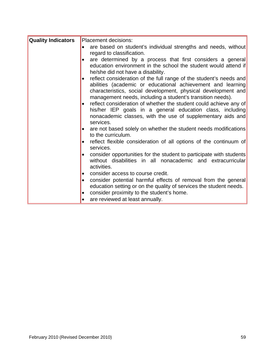| <b>Quality Indicators</b> | Placement decisions:<br>are based on student's individual strengths and needs, without<br>regard to classification.                                                                                                                                              |
|---------------------------|------------------------------------------------------------------------------------------------------------------------------------------------------------------------------------------------------------------------------------------------------------------|
|                           | are determined by a process that first considers a general<br>education environment in the school the student would attend if<br>he/she did not have a disability.                                                                                               |
|                           | reflect consideration of the full range of the student's needs and<br>abilities (academic or educational achievement and learning<br>characteristics, social development, physical development and<br>management needs, including a student's transition needs). |
|                           | reflect consideration of whether the student could achieve any of<br>his/her IEP goals in a general education class, including<br>nonacademic classes, with the use of supplementary aids and<br>services.                                                       |
|                           | are not based solely on whether the student needs modifications<br>to the curriculum.                                                                                                                                                                            |
|                           | reflect flexible consideration of all options of the continuum of<br>services.                                                                                                                                                                                   |
|                           | consider opportunities for the student to participate with students<br>without disabilities in all nonacademic and extracurricular<br>activities.                                                                                                                |
|                           | consider access to course credit.<br>consider potential harmful effects of removal from the general<br>$\bullet$<br>education setting or on the quality of services the student needs.<br>consider proximity to the student's home.<br>$\bullet$                 |
|                           | are reviewed at least annually.<br>$\bullet$                                                                                                                                                                                                                     |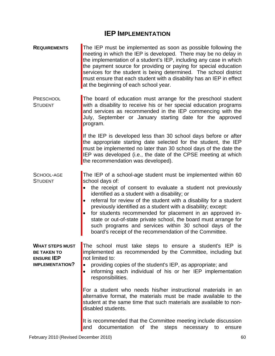# **IEP IMPLEMENTATION**

| <b>REQUIREMENTS</b>                                                                         | The IEP must be implemented as soon as possible following the<br>meeting in which the IEP is developed. There may be no delay in<br>the implementation of a student's IEP, including any case in which<br>the payment source for providing or paying for special education<br>services for the student is being determined. The school district<br>must ensure that each student with a disability has an IEP in effect<br>at the beginning of each school year.                                                                                                                               |
|---------------------------------------------------------------------------------------------|------------------------------------------------------------------------------------------------------------------------------------------------------------------------------------------------------------------------------------------------------------------------------------------------------------------------------------------------------------------------------------------------------------------------------------------------------------------------------------------------------------------------------------------------------------------------------------------------|
| PRESCHOOL<br><b>STUDENT</b>                                                                 | The board of education must arrange for the preschool student<br>with a disability to receive his or her special education programs<br>and services as recommended in the IEP commencing with the<br>July, September or January starting date for the approved<br>program.                                                                                                                                                                                                                                                                                                                     |
|                                                                                             | If the IEP is developed less than 30 school days before or after<br>the appropriate starting date selected for the student, the IEP<br>must be implemented no later than 30 school days of the date the<br>IEP was developed (i.e., the date of the CPSE meeting at which<br>the recommendation was developed).                                                                                                                                                                                                                                                                                |
| <b>SCHOOL-AGE</b><br><b>STUDENT</b>                                                         | The IEP of a school-age student must be implemented within 60<br>school days of:<br>the receipt of consent to evaluate a student not previously<br>identified as a student with a disability; or<br>referral for review of the student with a disability for a student<br>previously identified as a student with a disability; except:<br>for students recommended for placement in an approved in-<br>state or out-of-state private school, the board must arrange for<br>such programs and services within 30 school days of the<br>board's receipt of the recommendation of the Committee. |
| <b>WHAT STEPS MUST</b><br><b>BE TAKEN TO</b><br><b>ENSURE IEP</b><br><b>IMPLEMENTATION?</b> | The school must take steps to ensure a student's IEP is<br>implemented as recommended by the Committee, including but<br>not limited to:<br>providing copies of the student's IEP, as appropriate; and<br>informing each individual of his or her IEP implementation<br>responsibilities.<br>For a student who needs his/her instructional materials in an<br>alternative format, the materials must be made available to the<br>student at the same time that such materials are available to non-<br>disabled students.                                                                      |
|                                                                                             | It is recommended that the Committee meeting include discussion<br>documentation<br>of<br>and<br>the<br>steps<br>necessary<br>to<br>ensure                                                                                                                                                                                                                                                                                                                                                                                                                                                     |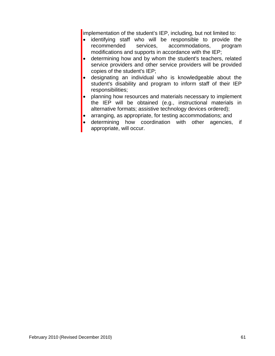implementation of the student's IEP, including, but not limited to:

- identifying staff who will be responsible to provide the recommended services, accommodations, program modifications and supports in accordance with the IEP;
- determining how and by whom the student's teachers, related service providers and other service providers will be provided copies of the student's IEP;
- designating an individual who is knowledgeable about the student's disability and program to inform staff of their IEP responsibilities;
- planning how resources and materials necessary to implement the IEP will be obtained (e.g., instructional materials in alternative formats; assistive technology devices ordered);
- arranging, as appropriate, for testing accommodations; and
- determining how coordination with other agencies, if appropriate, will occur.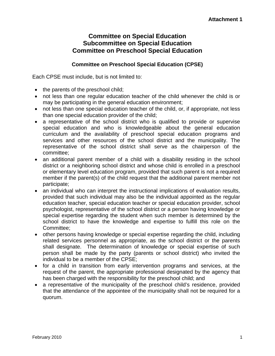# **Committee on Special Education Subcommittee on Special Education Committee on Preschool Special Education**

#### **Committee on Preschool Special Education (CPSE)**

Each CPSE must include, but is not limited to:

- the parents of the preschool child;
- not less than one regular education teacher of the child whenever the child is or may be participating in the general education environment;
- not less than one special education teacher of the child, or, if appropriate, not less than one special education provider of the child;
- a representative of the school district who is qualified to provide or supervise special education and who is knowledgeable about the general education curriculum and the availability of preschool special education programs and services and other resources of the school district and the municipality. The representative of the school district shall serve as the chairperson of the committee;
- an additional parent member of a child with a disability residing in the school district or a neighboring school district and whose child is enrolled in a preschool or elementary level education program, provided that such parent is not a required member if the parent(s) of the child request that the additional parent member not participate;
- an individual who can interpret the instructional implications of evaluation results, provided that such individual may also be the individual appointed as the regular education teacher, special education teacher or special education provider, school psychologist, representative of the school district or a person having knowledge or special expertise regarding the student when such member is determined by the school district to have the knowledge and expertise to fulfill this role on the Committee;
- other persons having knowledge or special expertise regarding the child, including related services personnel as appropriate, as the school district or the parents shall designate. The determination of knowledge or special expertise of such person shall be made by the party (parents or school district) who invited the individual to be a member of the CPSE;
- for a child in transition from early intervention programs and services, at the request of the parent, the appropriate professional designated by the agency that has been charged with the responsibility for the preschool child; and
- a representative of the municipality of the preschool child's residence, provided that the attendance of the appointee of the municipality shall not be required for a quorum.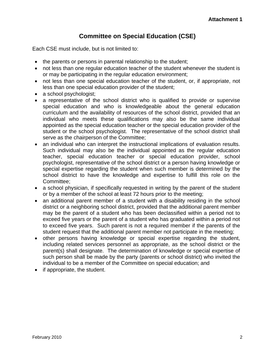# **Committee on Special Education (CSE)**

Each CSE must include, but is not limited to:

- the parents or persons in parental relationship to the student;
- not less than one regular education teacher of the student whenever the student is or may be participating in the regular education environment;
- not less than one special education teacher of the student, or, if appropriate, not less than one special education provider of the student;
- a school psychologist;
- a representative of the school district who is qualified to provide or supervise special education and who is knowledgeable about the general education curriculum and the availability of resources of the school district, provided that an individual who meets these qualifications may also be the same individual appointed as the special education teacher or the special education provider of the student or the school psychologist. The representative of the school district shall serve as the chairperson of the Committee;
- an individual who can interpret the instructional implications of evaluation results. Such individual may also be the individual appointed as the regular education teacher, special education teacher or special education provider, school psychologist, representative of the school district or a person having knowledge or special expertise regarding the student when such member is determined by the school district to have the knowledge and expertise to fulfill this role on the Committee;
- a school physician, if specifically requested in writing by the parent of the student or by a member of the school at least 72 hours prior to the meeting;
- an additional parent member of a student with a disability residing in the school district or a neighboring school district, provided that the additional parent member may be the parent of a student who has been declassified within a period not to exceed five years or the parent of a student who has graduated within a period not to exceed five years. Such parent is not a required member if the parents of the student request that the additional parent member not participate in the meeting;
- other persons having knowledge or special expertise regarding the student, including related services personnel as appropriate, as the school district or the parent(s) shall designate. The determination of knowledge or special expertise of such person shall be made by the party (parents or school district) who invited the individual to be a member of the Committee on special education; and
- if appropriate, the student.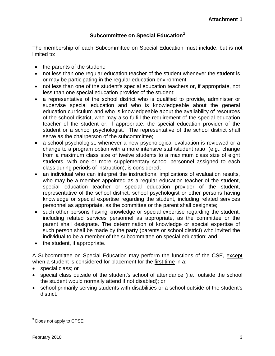#### **Subcommittee on Special Education[3](#page-66-0)**

The membership of each Subcommittee on Special Education must include, but is not limited to:

- the parents of the student;
- not less than one regular education teacher of the student whenever the student is or may be participating in the regular education environment;
- not less than one of the student's special education teachers or, if appropriate, not less than one special education provider of the student;
- a representative of the school district who is qualified to provide, administer or supervise special education and who is knowledgeable about the general education curriculum and who is knowledgeable about the availability of resources of the school district, who may also fulfill the requirement of the special education teacher of the student or, if appropriate, the special education provider of the student or a school psychologist. The representative of the school district shall serve as the chairperson of the subcommittee;
- a school psychologist, whenever a new psychological evaluation is reviewed or a change to a program option with a more intensive staff/student ratio (e.g., change from a maximum class size of twelve students to a maximum class size of eight students, with one or more supplementary school personnel assigned to each class during periods of instruction), is considered;
- an individual who can interpret the instructional implications of evaluation results, who may be a member appointed as a regular education teacher of the student, special education teacher or special education provider of the student, representative of the school district, school psychologist or other persons having knowledge or special expertise regarding the student, including related services personnel as appropriate, as the committee or the parent shall designate;
- such other persons having knowledge or special expertise regarding the student, including related services personnel as appropriate, as the committee or the parent shall designate. The determination of knowledge or special expertise of such person shall be made by the party (parents or school district) who invited the individual to be a member of the subcommittee on special education; and
- the student, if appropriate.

A Subcommittee on Special Education may perform the functions of the CSE, except when a student is considered for placement for the first time in a:

- special class; or
- special class outside of the student's school of attendance (i.e., outside the school the student would normally attend if not disabled); or
- school primarily serving students with disabilities or a school outside of the student's district.

<span id="page-66-0"></span> $\overline{a}$  $3$  Does not apply to CPSE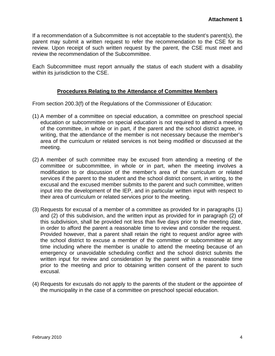If a recommendation of a Subcommittee is not acceptable to the student's parent(s), the parent may submit a written request to refer the recommendation to the CSE for its review. Upon receipt of such written request by the parent, the CSE must meet and review the recommendation of the Subcommittee.

Each Subcommittee must report annually the status of each student with a disability within its jurisdiction to the CSE.

#### **Procedures Relating to the Attendance of Committee Members**

From section 200.3(f) of the Regulations of the Commissioner of Education:

- (1) A member of a committee on special education, a committee on preschool special education or subcommittee on special education is not required to attend a meeting of the committee, in whole or in part, if the parent and the school district agree, in writing, that the attendance of the member is not necessary because the member's area of the curriculum or related services is not being modified or discussed at the meeting.
- (2) A member of such committee may be excused from attending a meeting of the committee or subcommittee, in whole or in part, when the meeting involves a modification to or discussion of the member's area of the curriculum or related services if the parent to the student and the school district consent, in writing, to the excusal and the excused member submits to the parent and such committee, written input into the development of the IEP, and in particular written input with respect to their area of curriculum or related services prior to the meeting.
- (3) Requests for excusal of a member of a committee as provided for in paragraphs (1) and (2) of this subdivision, and the written input as provided for in paragraph (2) of this subdivision, shall be provided not less than five days prior to the meeting date, in order to afford the parent a reasonable time to review and consider the request. Provided however, that a parent shall retain the right to request and/or agree with the school district to excuse a member of the committee or subcommittee at any time including where the member is unable to attend the meeting because of an emergency or unavoidable scheduling conflict and the school district submits the written input for review and consideration by the parent within a reasonable time prior to the meeting and prior to obtaining written consent of the parent to such excusal.
- (4) Requests for excusals do not apply to the parents of the student or the appointee of the municipality in the case of a committee on preschool special education.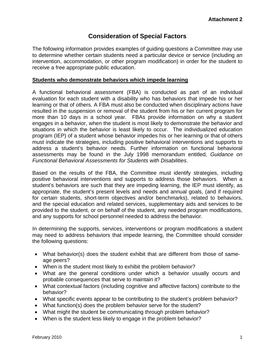# **Consideration of Special Factors**

The following information provides examples of guiding questions a Committee may use to determine whether certain students need a particular device or service (including an intervention, accommodation, or other program modification) in order for the student to receive a free appropriate public education.

#### **Students who demonstrate behaviors which impede learning**

A functional behavioral assessment (FBA) is conducted as part of an individual evaluation for each student with a disability who has behaviors that impede his or her learning or that of others. A FBA must also be conducted when disciplinary actions have resulted in the suspension or removal of the student from his or her current program for more than 10 days in a school year. FBAs provide information on why a student engages in a behavior, when the student is most likely to demonstrate the behavior and situations in which the behavior is least likely to occur. The individualized education program (IEP) of a student whose behavior impedes his or her learning or that of others must indicate the strategies, including positive behavioral interventions and supports to address a student's behavior needs. Further information on functional behavioral assessments may be found in the July 1998 memorandum entitled, *Guidance on Functional Behavioral Assessments for Students with Disabilities*.

Based on the results of the FBA, the Committee must identify strategies, including positive behavioral interventions and supports to address those behaviors. When a student's behaviors are such that they are impeding learning, the IEP must identify, as appropriate, the student's present levels and needs and annual goals, (and if required for certain students, short-term objectives and/or benchmarks), related to behaviors, and the special education and related services, supplementary aids and services to be provided to the student, or on behalf of the student, any needed program modifications, and any supports for school personnel needed to address the behavior.

In determining the supports, services, interventions or program modifications a student may need to address behaviors that impede learning, the Committee should consider the following questions:

- What behavior(s) does the student exhibit that are different from those of sameage peers?
- When is the student most likely to exhibit the problem behavior?
- What are the general conditions under which a behavior usually occurs and probable consequences that serve to maintain it?
- What contextual factors (including cognitive and affective factors) contribute to the behavior?
- What specific events appear to be contributing to the student's problem behavior?
- What function(s) does the problem behavior serve for the student?
- What might the student be communicating through problem behavior?
- When is the student less likely to engage in the problem behavior?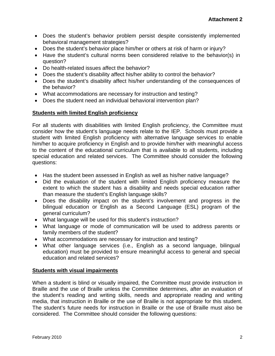- Does the student's behavior problem persist despite consistently implemented behavioral management strategies?
- Does the student's behavior place him/her or others at risk of harm or injury?
- Have the student's cultural norms been considered relative to the behavior(s) in question?
- Do health-related issues affect the behavior?
- Does the student's disability affect his/her ability to control the behavior?
- Does the student's disability affect his/her understanding of the consequences of the behavior?
- What accommodations are necessary for instruction and testing?
- Does the student need an individual behavioral intervention plan?

## **Students with limited English proficiency**

For all students with disabilities with limited English proficiency, the Committee must consider how the student's language needs relate to the IEP. Schools must provide a student with limited English proficiency with alternative language services to enable him/her to acquire proficiency in English and to provide him/her with meaningful access to the content of the educational curriculum that is available to all students, including special education and related services. The Committee should consider the following questions:

- Has the student been assessed in English as well as his/her native language?
- Did the evaluation of the student with limited English proficiency measure the extent to which the student has a disability and needs special education rather than measure the student's English language skills?
- Does the disability impact on the student's involvement and progress in the bilingual education or English as a Second Language (ESL) program of the general curriculum?
- What language will be used for this student's instruction?
- What language or mode of communication will be used to address parents or family members of the student?
- What accommodations are necessary for instruction and testing?
- What other language services (i.e., English as a second language, bilingual education) must be provided to ensure meaningful access to general and special education and related services?

#### **Students with visual impairments**

When a student is blind or visually impaired, the Committee must provide instruction in Braille and the use of Braille unless the Committee determines, after an evaluation of the student's reading and writing skills, needs and appropriate reading and writing media, that instruction in Braille or the use of Braille is not appropriate for this student. The student's future needs for instruction in Braille or the use of Braille must also be considered. The Committee should consider the following questions: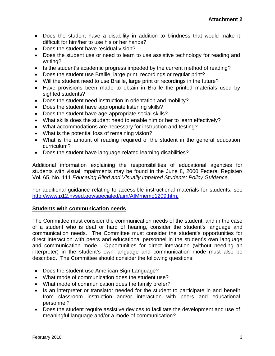- Does the student have a disability in addition to blindness that would make it difficult for him/her to use his or her hands?
- Does the student have residual vision?
- Does the student use or need to learn to use assistive technology for reading and writing?
- Is the student's academic progress impeded by the current method of reading?
- Does the student use Braille, large print, recordings or regular print?
- Will the student need to use Braille, large print or recordings in the future?
- Have provisions been made to obtain in Braille the printed materials used by sighted students?
- Does the student need instruction in orientation and mobility?
- Does the student have appropriate listening skills?
- Does the student have age-appropriate social skills?
- What skills does the student need to enable him or her to learn effectively?
- What accommodations are necessary for instruction and testing?
- What is the potential loss of remaining vision?
- What is the amount of reading required of the student in the general education curriculum?
- Does the student have language-related learning disabilities?

Additional information explaining the responsibilities of educational agencies for students with visual impairments may be found in the June 8, 2000 Federal Register/ Vol. 65, No. 111 *Educating Blind and Visually Impaired Students: Policy Guidance.* 

For additional guidance relating to accessible instructional materials for students, see <http://www.p12.nysed.gov/specialed/aim/AIMmemo1209.htm>.

#### **Students with communication needs**

The Committee must consider the communication needs of the student, and in the case of a student who is deaf or hard of hearing, consider the student's language and communication needs. The Committee must consider the student's opportunities for direct interaction with peers and educational personnel in the student's own language and communication mode. Opportunities for direct interaction (without needing an interpreter) in the student's own language and communication mode must also be described. The Committee should consider the following questions:

- Does the student use American Sign Language?
- What mode of communication does the student use?
- What mode of communication does the family prefer?
- Is an interpreter or translator needed for the student to participate in and benefit from classroom instruction and/or interaction with peers and educational personnel?
- Does the student require assistive devices to facilitate the development and use of meaningful language and/or a mode of communication?